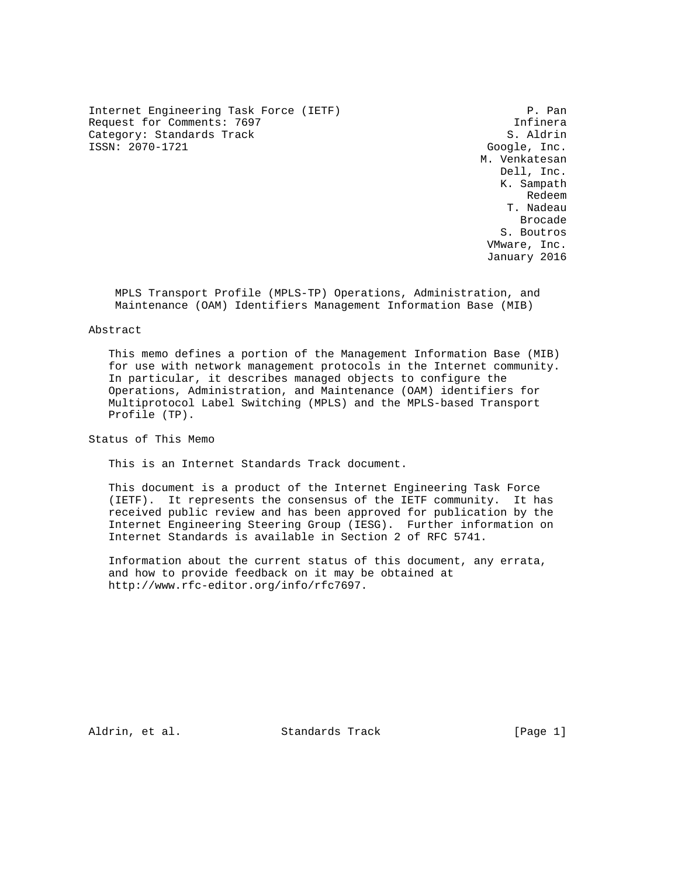Internet Engineering Task Force (IETF) P. Pan Request for Comments: 7697 and the comments of the comments of the control of the control of the control of the control of the control of the control of the control of the control of the control of the control of the contr Category: Standards Track S. Aldrin S. Aldrin S. Aldrin S. Aldrin S. Aldrin S. Aldrin S. Aldrin S. Aldrin S. Aldrin S. Aldrin S. Aldrin S. Aldrin S. Aldrin S. Aldrin S. Aldrin S. Aldrin S. Aldrin S. Aldrin S. Aldrin S. Ald

Google, Inc. M. Venkatesan Dell, Inc. K. Sampath redeem in the control of the control of the control of the control of the control of the control of the control of the control of the control of the control of the control of the control of the control of the control of th T. Nadeau de de la construcción de la construcción de la construcción de la construcción de la construcción de la construcción de la construcción de la construcción de la construcción de la construcción de la construcción de la cons S. Boutros VMware, Inc. January 2016

 MPLS Transport Profile (MPLS-TP) Operations, Administration, and Maintenance (OAM) Identifiers Management Information Base (MIB)

#### Abstract

 This memo defines a portion of the Management Information Base (MIB) for use with network management protocols in the Internet community. In particular, it describes managed objects to configure the Operations, Administration, and Maintenance (OAM) identifiers for Multiprotocol Label Switching (MPLS) and the MPLS-based Transport Profile (TP).

Status of This Memo

This is an Internet Standards Track document.

 This document is a product of the Internet Engineering Task Force (IETF). It represents the consensus of the IETF community. It has received public review and has been approved for publication by the Internet Engineering Steering Group (IESG). Further information on Internet Standards is available in Section 2 of RFC 5741.

 Information about the current status of this document, any errata, and how to provide feedback on it may be obtained at http://www.rfc-editor.org/info/rfc7697.

Aldrin, et al. Standards Track [Page 1]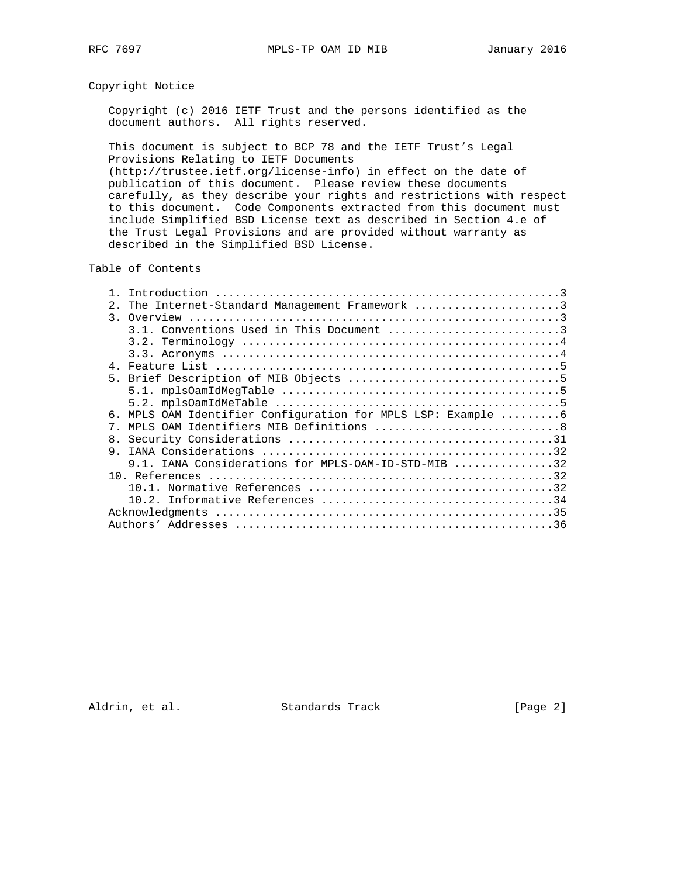# Copyright Notice

 Copyright (c) 2016 IETF Trust and the persons identified as the document authors. All rights reserved.

 This document is subject to BCP 78 and the IETF Trust's Legal Provisions Relating to IETF Documents (http://trustee.ietf.org/license-info) in effect on the date of publication of this document. Please review these documents carefully, as they describe your rights and restrictions with respect to this document. Code Components extracted from this document must

 include Simplified BSD License text as described in Section 4.e of the Trust Legal Provisions and are provided without warranty as described in the Simplified BSD License.

Table of Contents

| The Internet-Standard Management Framework 3<br>2.1          |
|--------------------------------------------------------------|
|                                                              |
| 3.1. Conventions Used in This Document 3                     |
|                                                              |
|                                                              |
|                                                              |
|                                                              |
|                                                              |
|                                                              |
| 6. MPLS OAM Identifier Configuration for MPLS LSP: Example 6 |
| MPLS OAM Identifiers MIB Definitions 8<br>7                  |
| 8.                                                           |
| 9                                                            |
| 9.1. IANA Considerations for MPLS-OAM-ID-STD-MIB 32          |
|                                                              |
|                                                              |
|                                                              |
|                                                              |
|                                                              |

Aldrin, et al. Standards Track [Page 2]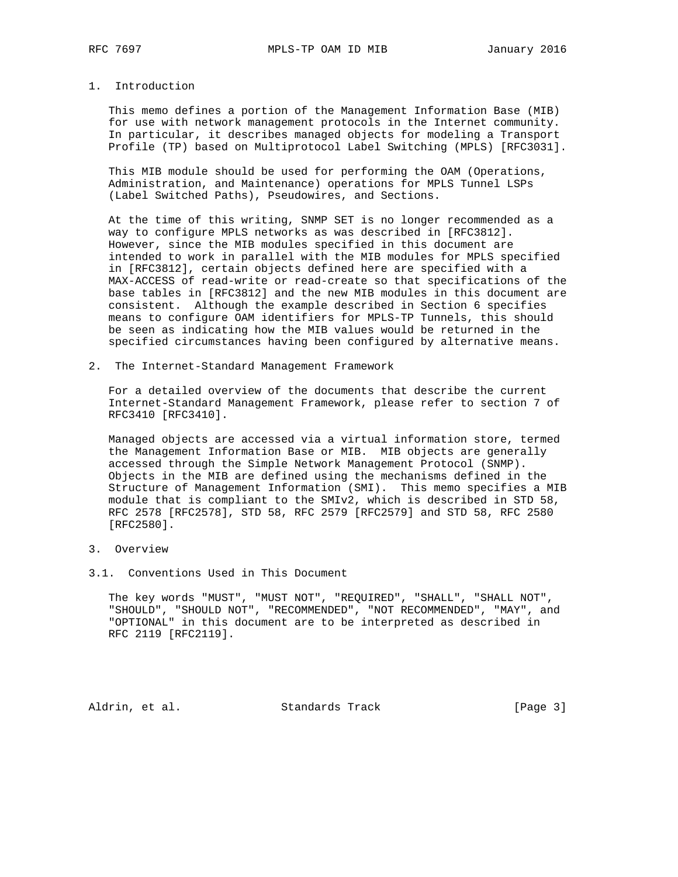#### 1. Introduction

 This memo defines a portion of the Management Information Base (MIB) for use with network management protocols in the Internet community. In particular, it describes managed objects for modeling a Transport Profile (TP) based on Multiprotocol Label Switching (MPLS) [RFC3031].

 This MIB module should be used for performing the OAM (Operations, Administration, and Maintenance) operations for MPLS Tunnel LSPs (Label Switched Paths), Pseudowires, and Sections.

 At the time of this writing, SNMP SET is no longer recommended as a way to configure MPLS networks as was described in [RFC3812]. However, since the MIB modules specified in this document are intended to work in parallel with the MIB modules for MPLS specified in [RFC3812], certain objects defined here are specified with a MAX-ACCESS of read-write or read-create so that specifications of the base tables in [RFC3812] and the new MIB modules in this document are consistent. Although the example described in Section 6 specifies means to configure OAM identifiers for MPLS-TP Tunnels, this should be seen as indicating how the MIB values would be returned in the specified circumstances having been configured by alternative means.

2. The Internet-Standard Management Framework

 For a detailed overview of the documents that describe the current Internet-Standard Management Framework, please refer to section 7 of RFC3410 [RFC3410].

 Managed objects are accessed via a virtual information store, termed the Management Information Base or MIB. MIB objects are generally accessed through the Simple Network Management Protocol (SNMP). Objects in the MIB are defined using the mechanisms defined in the Structure of Management Information (SMI). This memo specifies a MIB module that is compliant to the SMIv2, which is described in STD 58, RFC 2578 [RFC2578], STD 58, RFC 2579 [RFC2579] and STD 58, RFC 2580 [RFC2580].

- 3. Overview
- 3.1. Conventions Used in This Document

 The key words "MUST", "MUST NOT", "REQUIRED", "SHALL", "SHALL NOT", "SHOULD", "SHOULD NOT", "RECOMMENDED", "NOT RECOMMENDED", "MAY", and "OPTIONAL" in this document are to be interpreted as described in RFC 2119 [RFC2119].

Aldrin, et al. Standards Track [Page 3]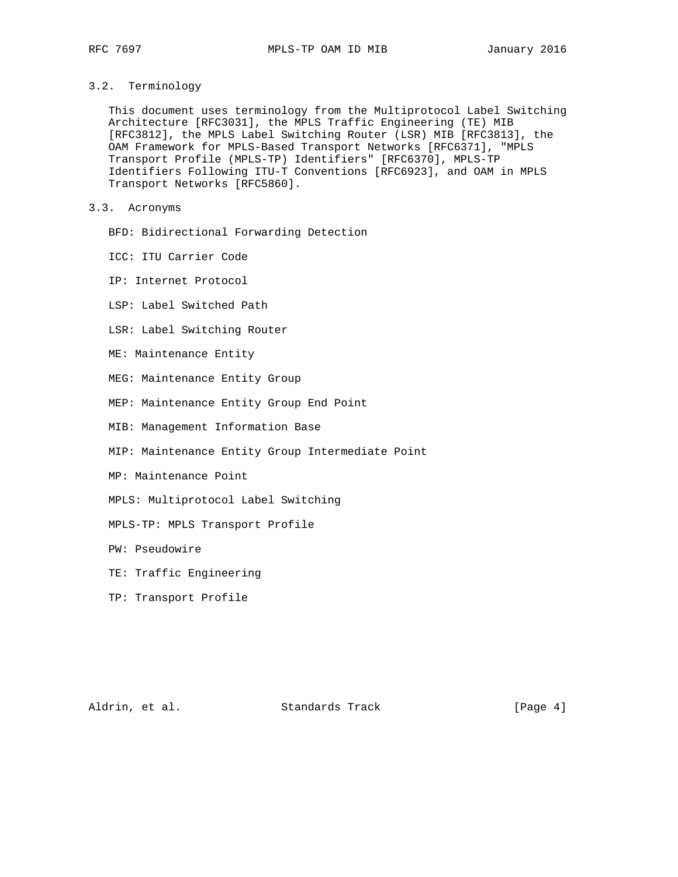# 3.2. Terminology

 This document uses terminology from the Multiprotocol Label Switching Architecture [RFC3031], the MPLS Traffic Engineering (TE) MIB [RFC3812], the MPLS Label Switching Router (LSR) MIB [RFC3813], the OAM Framework for MPLS-Based Transport Networks [RFC6371], "MPLS Transport Profile (MPLS-TP) Identifiers" [RFC6370], MPLS-TP Identifiers Following ITU-T Conventions [RFC6923], and OAM in MPLS Transport Networks [RFC5860].

# 3.3. Acronyms

- BFD: Bidirectional Forwarding Detection
- ICC: ITU Carrier Code
- IP: Internet Protocol
- LSP: Label Switched Path
- LSR: Label Switching Router
- ME: Maintenance Entity
- MEG: Maintenance Entity Group
- MEP: Maintenance Entity Group End Point
- MIB: Management Information Base
- MIP: Maintenance Entity Group Intermediate Point
- MP: Maintenance Point
- MPLS: Multiprotocol Label Switching
- MPLS-TP: MPLS Transport Profile
- PW: Pseudowire
- TE: Traffic Engineering
- TP: Transport Profile

Aldrin, et al. Standards Track [Page 4]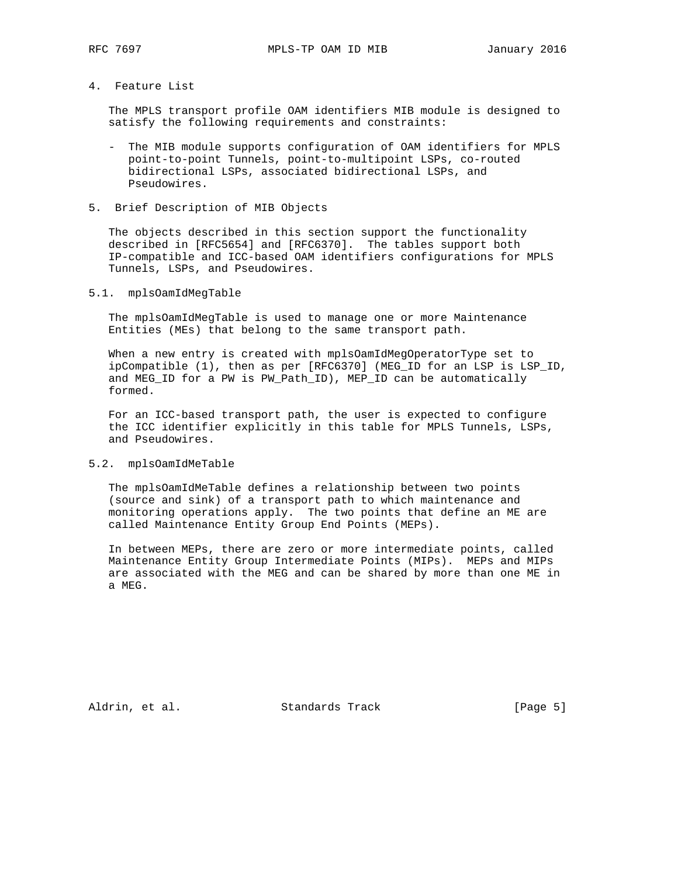# 4. Feature List

 The MPLS transport profile OAM identifiers MIB module is designed to satisfy the following requirements and constraints:

- The MIB module supports configuration of OAM identifiers for MPLS point-to-point Tunnels, point-to-multipoint LSPs, co-routed bidirectional LSPs, associated bidirectional LSPs, and Pseudowires.
- 5. Brief Description of MIB Objects

 The objects described in this section support the functionality described in [RFC5654] and [RFC6370]. The tables support both IP-compatible and ICC-based OAM identifiers configurations for MPLS Tunnels, LSPs, and Pseudowires.

### 5.1. mplsOamIdMegTable

 The mplsOamIdMegTable is used to manage one or more Maintenance Entities (MEs) that belong to the same transport path.

 When a new entry is created with mplsOamIdMegOperatorType set to ipCompatible (1), then as per [RFC6370] (MEG\_ID for an LSP is LSP\_ID, and MEG\_ID for a PW is PW\_Path\_ID), MEP\_ID can be automatically formed.

 For an ICC-based transport path, the user is expected to configure the ICC identifier explicitly in this table for MPLS Tunnels, LSPs, and Pseudowires.

#### 5.2. mplsOamIdMeTable

 The mplsOamIdMeTable defines a relationship between two points (source and sink) of a transport path to which maintenance and monitoring operations apply. The two points that define an ME are called Maintenance Entity Group End Points (MEPs).

 In between MEPs, there are zero or more intermediate points, called Maintenance Entity Group Intermediate Points (MIPs). MEPs and MIPs are associated with the MEG and can be shared by more than one ME in a MEG.

Aldrin, et al. Standards Track [Page 5]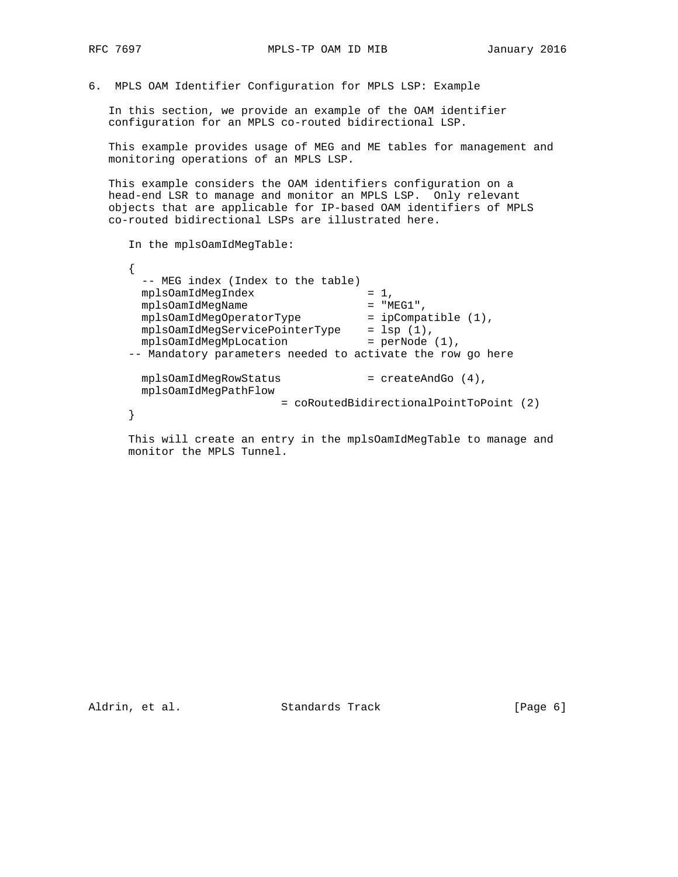6. MPLS OAM Identifier Configuration for MPLS LSP: Example

 In this section, we provide an example of the OAM identifier configuration for an MPLS co-routed bidirectional LSP.

 This example provides usage of MEG and ME tables for management and monitoring operations of an MPLS LSP.

 This example considers the OAM identifiers configuration on a head-end LSR to manage and monitor an MPLS LSP. Only relevant objects that are applicable for IP-based OAM identifiers of MPLS co-routed bidirectional LSPs are illustrated here.

In the mplsOamIdMegTable:

 { -- MEG index (Index to the table)<br>mplsOamIdMeqIndex = 1, mplsOamIdMegIndex = 1, mplsOamIdMegName = "MEG1",  $m$ plsOamIdMegOperatorType = ipCompatible (1), mplsOamIdMegServicePointerType = lsp (1), mplsOamIdMegMpLocation = perNode (1), -- Mandatory parameters needed to activate the row go here mplsOamIdMegRowStatus  $=$  createAndGo  $(4)$ ,<br>mplsOamIdMegPathFlow mplsOamIdMegPathFlow = coRoutedBidirectionalPointToPoint (2) }

 This will create an entry in the mplsOamIdMegTable to manage and monitor the MPLS Tunnel.

Aldrin, et al. Standards Track [Page 6]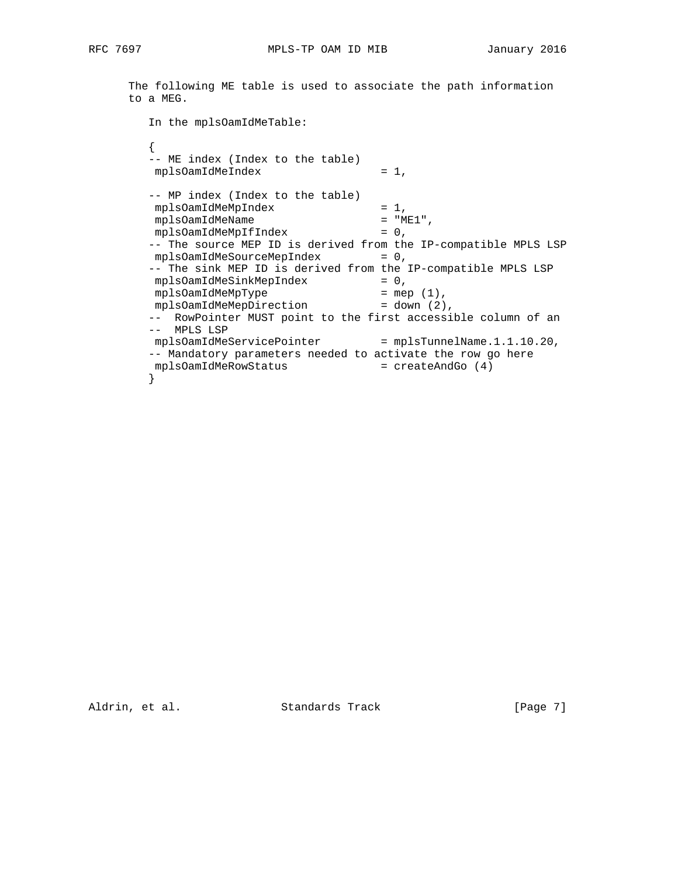The following ME table is used to associate the path information to a MEG.

 In the mplsOamIdMeTable:  $\{$  -- ME index (Index to the table) mplsOamIdMeIndex = 1, -- MP index (Index to the table) mplsOamIdMeMpIndex = 1,<br>mplsOamIdMeMpIndex = 1,<br>mplsOamIdMeName = "ME1", mplsOamIdMeName = "ME1", mplsOamIdMeMpIfIndex = 0, -- The source MEP ID is derived from the IP-compatible MPLS LSP mplsOamIdMeSourceMepIndex = 0, -- The sink MEP ID is derived from the IP-compatible MPLS LSP mplsOamIdMeSinkMepIndex = 0, mplsOamIdMeMpType = mep (1), mplsOamIdMeMepDirection = down (2), -- RowPointer MUST point to the first accessible column of an -- MPLS LSP mplsOamIdMeServicePointer = mplsTunnelName.1.1.10.20, -- Mandatory parameters needed to activate the row go here mplsOamIdMeRowStatus = createAndGo (4)  $\}$ }

Aldrin, et al. Standards Track [Page 7]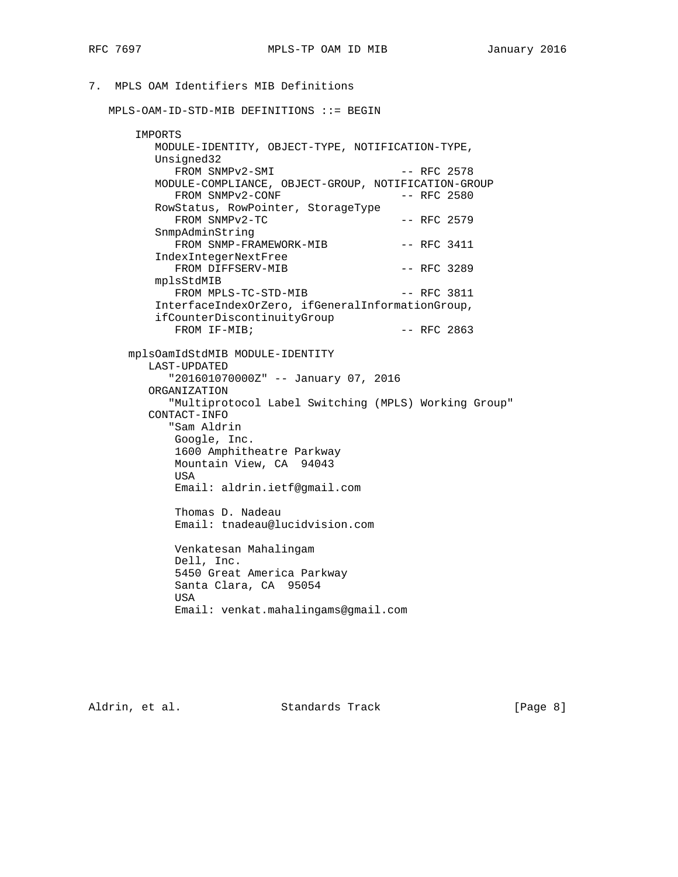# 7. MPLS OAM Identifiers MIB Definitions

MPLS-OAM-ID-STD-MIB DEFINITIONS ::= BEGIN

| IMPORTS                                              |               |  |
|------------------------------------------------------|---------------|--|
| MODULE-IDENTITY, OBJECT-TYPE, NOTIFICATION-TYPE,     |               |  |
| Unsigned32                                           |               |  |
| FROM SNMPv2-SMI                                      | $--$ RFC 2578 |  |
| MODULE-COMPLIANCE, OBJECT-GROUP, NOTIFICATION-GROUP  |               |  |
| FROM SNMPv2-CONF                                     | $--$ RFC 2580 |  |
| RowStatus, RowPointer, StorageType                   |               |  |
| FROM SNMPv2-TC                                       | $--$ RFC 2579 |  |
| SnmpAdminString                                      |               |  |
| FROM SNMP-FRAMEWORK-MIB                              | $--$ RFC 3411 |  |
| IndexIntegerNextFree                                 |               |  |
| FROM DIFFSERV-MIB                                    | $--$ RFC 3289 |  |
| mplsStdMIB                                           |               |  |
| FROM MPLS-TC-STD-MIB                                 | $--$ RFC 3811 |  |
| InterfaceIndexOrZero, ifGeneralInformationGroup,     |               |  |
| ifCounterDiscontinuityGroup                          |               |  |
| FROM IF-MIB;                                         | $--$ RFC 2863 |  |
|                                                      |               |  |
| mplsOamIdStdMIB MODULE-IDENTITY                      |               |  |
| LAST-UPDATED                                         |               |  |
| "201601070000Z" -- January 07, 2016                  |               |  |
| ORGANIZATION                                         |               |  |
| "Multiprotocol Label Switching (MPLS) Working Group" |               |  |
| CONTACT-INFO                                         |               |  |
| "Sam Aldrin                                          |               |  |
| Google, Inc.                                         |               |  |
| 1600 Amphitheatre Parkway                            |               |  |
| Mountain View, CA 94043                              |               |  |
| USA                                                  |               |  |
| Email: aldrin.ietf@gmail.com                         |               |  |
| Thomas D. Nadeau                                     |               |  |
| Email: tnadeau@lucidvision.com                       |               |  |
|                                                      |               |  |
| Venkatesan Mahalingam                                |               |  |
| Dell, Inc.                                           |               |  |
| 5450 Great America Parkway                           |               |  |
| Santa Clara, CA 95054                                |               |  |
| USA                                                  |               |  |
| Email: venkat.mahalingams@gmail.com                  |               |  |
|                                                      |               |  |

Aldrin, et al. Standards Track [Page 8]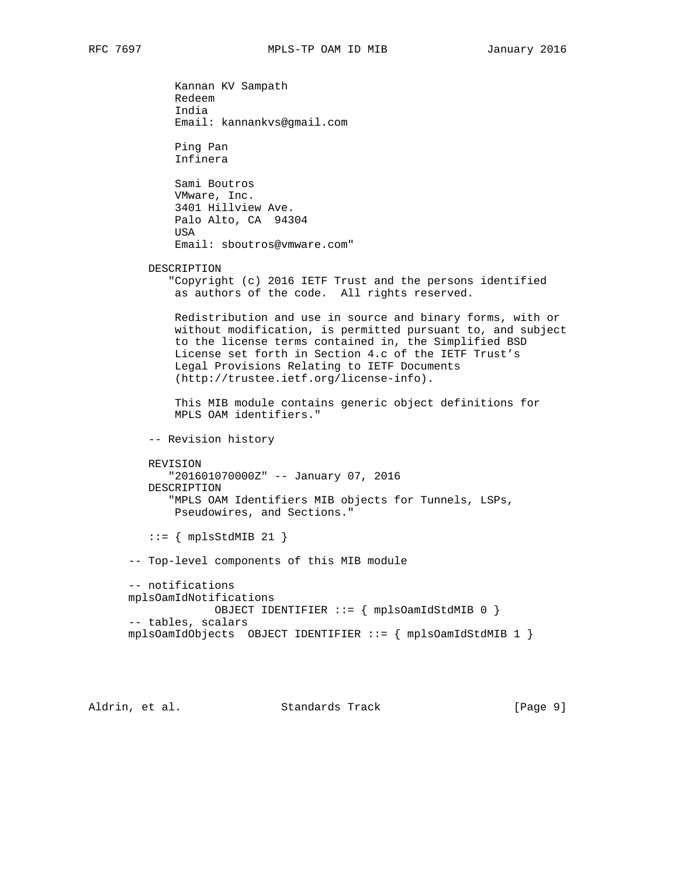Kannan KV Sampath Redeem India Email: kannankvs@gmail.com Ping Pan Infinera Sami Boutros VMware, Inc. 3401 Hillview Ave. Palo Alto, CA 94304 **USA**  Email: sboutros@vmware.com" DESCRIPTION "Copyright (c) 2016 IETF Trust and the persons identified as authors of the code. All rights reserved. Redistribution and use in source and binary forms, with or without modification, is permitted pursuant to, and subject to the license terms contained in, the Simplified BSD License set forth in Section 4.c of the IETF Trust's Legal Provisions Relating to IETF Documents (http://trustee.ietf.org/license-info). This MIB module contains generic object definitions for MPLS OAM identifiers." -- Revision history REVISION "201601070000Z" -- January 07, 2016 DESCRIPTION "MPLS OAM Identifiers MIB objects for Tunnels, LSPs, Pseudowires, and Sections."  $::=$  { mplsStdMIB 21 } -- Top-level components of this MIB module -- notifications mplsOamIdNotifications OBJECT IDENTIFIER ::= { mplsOamIdStdMIB 0 } -- tables, scalars mplsOamIdObjects OBJECT IDENTIFIER ::= { mplsOamIdStdMIB 1 }

Aldrin, et al. Standards Track [Page 9]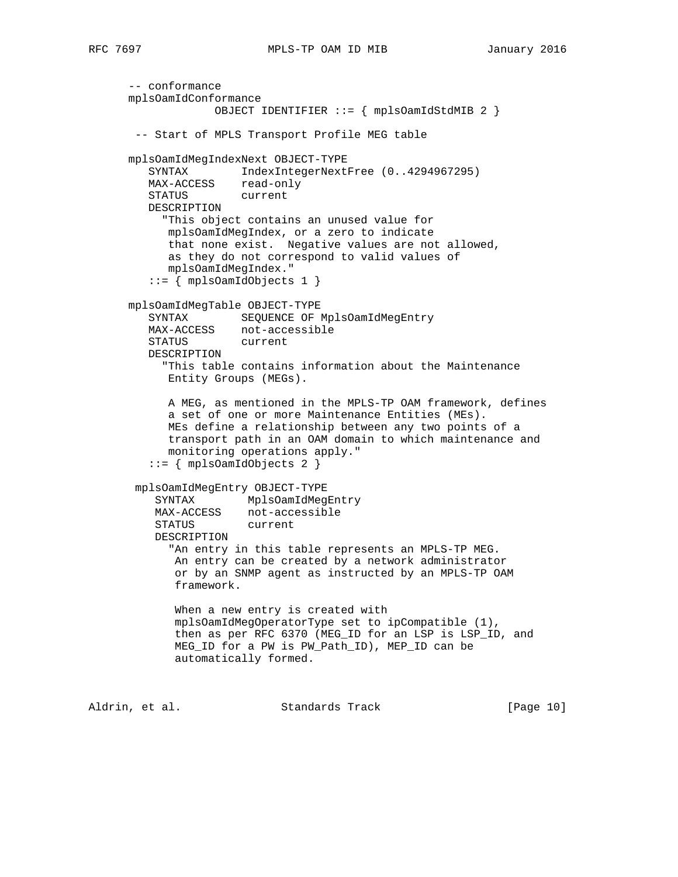```
 -- conformance
      mplsOamIdConformance
                   OBJECT IDENTIFIER ::= { mplsOamIdStdMIB 2 }
       -- Start of MPLS Transport Profile MEG table
      mplsOamIdMegIndexNext OBJECT-TYPE
         SYNTAX IndexIntegerNextFree (0..4294967295)
        MAX-ACCESS read-only
         STATUS current
         DESCRIPTION
           "This object contains an unused value for
            mplsOamIdMegIndex, or a zero to indicate
            that none exist. Negative values are not allowed,
            as they do not correspond to valid values of
            mplsOamIdMegIndex."
         ::= { mplsOamIdObjects 1 }
      mplsOamIdMegTable OBJECT-TYPE
         SYNTAX SEQUENCE OF MplsOamIdMegEntry
         MAX-ACCESS not-accessible
         STATUS current
         DESCRIPTION
           "This table contains information about the Maintenance
            Entity Groups (MEGs).
            A MEG, as mentioned in the MPLS-TP OAM framework, defines
            a set of one or more Maintenance Entities (MEs).
            MEs define a relationship between any two points of a
            transport path in an OAM domain to which maintenance and
            monitoring operations apply."
         ::= { mplsOamIdObjects 2 }
       mplsOamIdMegEntry OBJECT-TYPE
 SYNTAX MplsOamIdMegEntry
 MAX-ACCESS not-accessible
          STATUS current
          DESCRIPTION
           "An entry in this table represents an MPLS-TP MEG.
             An entry can be created by a network administrator
             or by an SNMP agent as instructed by an MPLS-TP OAM
             framework.
             When a new entry is created with
             mplsOamIdMegOperatorType set to ipCompatible (1),
             then as per RFC 6370 (MEG_ID for an LSP is LSP_ID, and
             MEG_ID for a PW is PW_Path_ID), MEP_ID can be
             automatically formed.
```
Aldrin, et al. Standards Track [Page 10]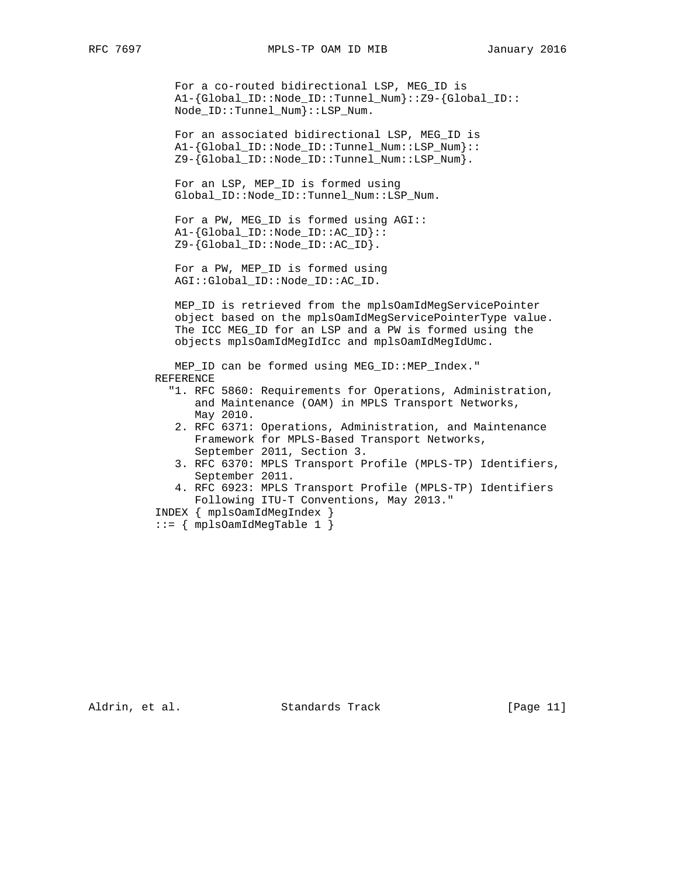For a co-routed bidirectional LSP, MEG\_ID is A1-{Global\_ID::Node\_ID::Tunnel\_Num}::Z9-{Global\_ID:: Node\_ID::Tunnel\_Num}::LSP\_Num.

 For an associated bidirectional LSP, MEG\_ID is A1-{Global\_ID::Node\_ID::Tunnel\_Num::LSP\_Num}::  $Z9-\left\{\text{Global\_ID::Node\_ID::Tunnel\_Num::LSP\_Num}\right\}.$ 

 For an LSP, MEP\_ID is formed using Global\_ID::Node\_ID::Tunnel\_Num::LSP\_Num.

 For a PW, MEG\_ID is formed using AGI:: A1-{Global\_ID::Node\_ID::AC\_ID}:: Z9-{Global\_ID::Node\_ID::AC\_ID}.

 For a PW, MEP\_ID is formed using AGI::Global\_ID::Node\_ID::AC\_ID.

 MEP\_ID is retrieved from the mplsOamIdMegServicePointer object based on the mplsOamIdMegServicePointerType value. The ICC MEG\_ID for an LSP and a PW is formed using the objects mplsOamIdMegIdIcc and mplsOamIdMegIdUmc.

 MEP\_ID can be formed using MEG\_ID::MEP\_Index." REFERENCE

- "1. RFC 5860: Requirements for Operations, Administration, and Maintenance (OAM) in MPLS Transport Networks, May 2010.
- 2. RFC 6371: Operations, Administration, and Maintenance Framework for MPLS-Based Transport Networks, September 2011, Section 3.
- 3. RFC 6370: MPLS Transport Profile (MPLS-TP) Identifiers, September 2011.
- 4. RFC 6923: MPLS Transport Profile (MPLS-TP) Identifiers Following ITU-T Conventions, May 2013."

INDEX { mplsOamIdMegIndex }

 $::=$  { mplsOamIdMeqTable 1 }

Aldrin, et al. Standards Track [Page 11]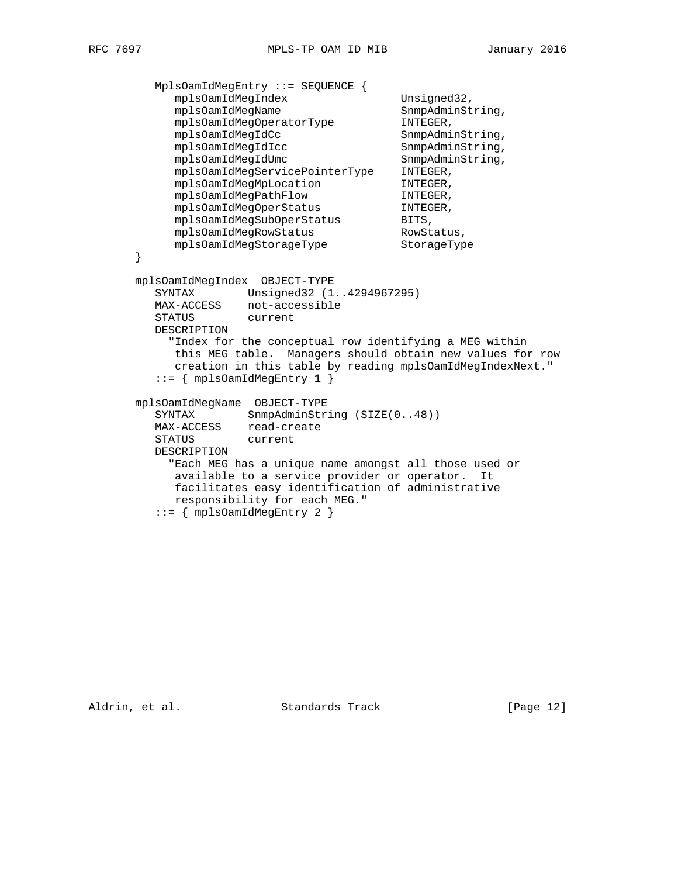```
 MplsOamIdMegEntry ::= SEQUENCE {
          mplsOamIdMegIndex Unsigned32,
          mplsOamIdMegName SnmpAdminString,
          mplsOamIdMegOperatorType INTEGER,
          mplsOamIdMegIdCc SnmpAdminString,
 mplsOamIdMegIdIcc SnmpAdminString,
mplsOamIdMegIdUmc SnmpAdminString,
 mplsOamIdMegServicePointerType INTEGER,
mplsOamIdMegMpLocation INTEGER,
mplsOamIdMegPathFlow INTEGER,
mplsOamIdMegOperStatus INTEGER,
mplsOamIdMegSubOperStatus BITS,
mplsOamIdMegRowStatus RowStatus,
 mplsOamIdMegStorageType StorageType
      }
      mplsOamIdMegIndex OBJECT-TYPE
        SYNTAX Unsigned32 (1..4294967295)
        MAX-ACCESS not-accessible
        STATUS current
        DESCRIPTION
          "Index for the conceptual row identifying a MEG within
          this MEG table. Managers should obtain new values for row
          creation in this table by reading mplsOamIdMegIndexNext."
        ::= { mplsOamIdMegEntry 1 }
      mplsOamIdMegName OBJECT-TYPE
SYNTAX SnmpAdminString (SIZE(0..48))
 MAX-ACCESS read-create
 STATUS current
        DESCRIPTION
          "Each MEG has a unique name amongst all those used or
           available to a service provider or operator. It
           facilitates easy identification of administrative
           responsibility for each MEG."
        ::= { mplsOamIdMegEntry 2 }
```
Aldrin, et al. Standards Track [Page 12]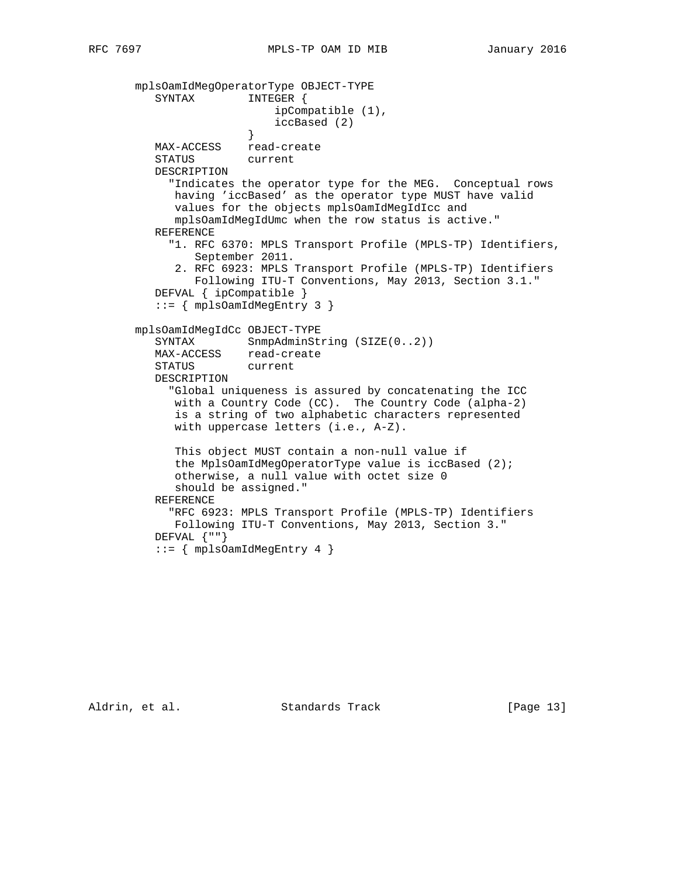```
 mplsOamIdMegOperatorType OBJECT-TYPE
          SYNTAX INTEGER {
                            ipCompatible (1),
                            iccBased (2)
 }
         MAX-ACCESS read-create<br>STATUS current
         STATUS
          DESCRIPTION
             "Indicates the operator type for the MEG. Conceptual rows
             having 'iccBased' as the operator type MUST have valid
             values for the objects mplsOamIdMegIdIcc and
             mplsOamIdMegIdUmc when the row status is active."
          REFERENCE
            "1. RFC 6370: MPLS Transport Profile (MPLS-TP) Identifiers,
                September 2011.
             2. RFC 6923: MPLS Transport Profile (MPLS-TP) Identifiers
                Following ITU-T Conventions, May 2013, Section 3.1."
          DEFVAL { ipCompatible }
          ::= { mplsOamIdMegEntry 3 }
       mplsOamIdMegIdCc OBJECT-TYPE
         SYNTAX SnmpAdminString (SIZE(0..2))
          MAX-ACCESS read-create
          STATUS current
          DESCRIPTION
             "Global uniqueness is assured by concatenating the ICC
             with a Country Code (CC). The Country Code (alpha-2)
             is a string of two alphabetic characters represented
             with uppercase letters (i.e., A-Z).
             This object MUST contain a non-null value if
             the MplsOamIdMegOperatorType value is iccBased (2);
             otherwise, a null value with octet size 0
             should be assigned."
          REFERENCE
            "RFC 6923: MPLS Transport Profile (MPLS-TP) Identifiers
             Following ITU-T Conventions, May 2013, Section 3."
         DEFVAL \{ " " \} ::= { mplsOamIdMegEntry 4 }
```
Aldrin, et al. Standards Track [Page 13]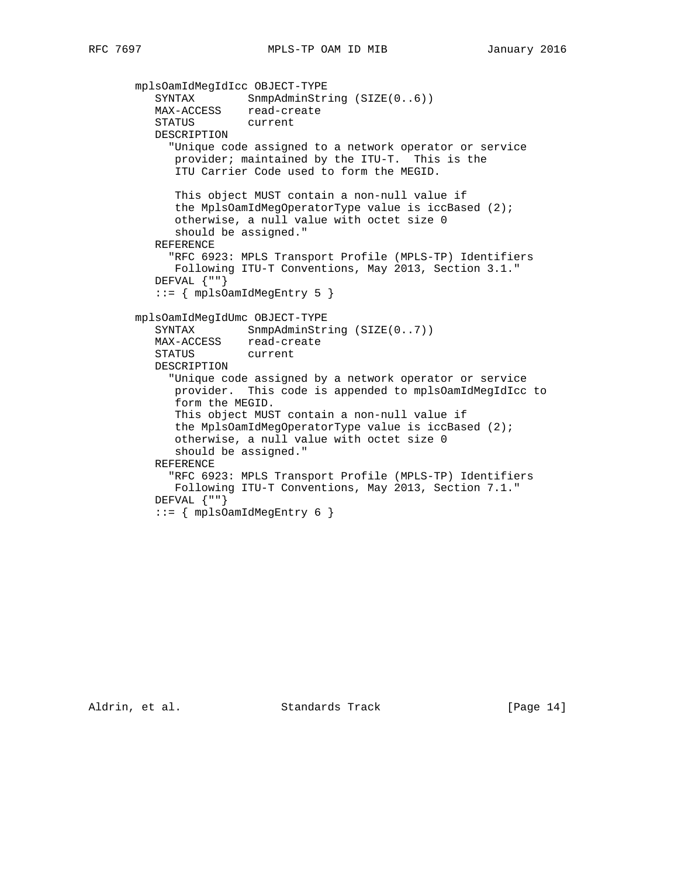```
 mplsOamIdMegIdIcc OBJECT-TYPE
SYNTAX SnmpAdminString (SIZE(0..6))
 MAX-ACCESS read-create
          STATUS current
          DESCRIPTION
            "Unique code assigned to a network operator or service
             provider; maintained by the ITU-T. This is the
             ITU Carrier Code used to form the MEGID.
             This object MUST contain a non-null value if
             the MplsOamIdMegOperatorType value is iccBased (2);
             otherwise, a null value with octet size 0
             should be assigned."
          REFERENCE
            "RFC 6923: MPLS Transport Profile (MPLS-TP) Identifiers
             Following ITU-T Conventions, May 2013, Section 3.1."
         DEFVAL \{ " " \} ::= { mplsOamIdMegEntry 5 }
       mplsOamIdMegIdUmc OBJECT-TYPE
         SYNTAX SnmpAdminString (SIZE(0..7))
          MAX-ACCESS read-create
          STATUS current
          DESCRIPTION
            "Unique code assigned by a network operator or service
             provider. This code is appended to mplsOamIdMegIdIcc to
             form the MEGID.
             This object MUST contain a non-null value if
             the MplsOamIdMegOperatorType value is iccBased (2);
             otherwise, a null value with octet size 0
             should be assigned."
          REFERENCE
            "RFC 6923: MPLS Transport Profile (MPLS-TP) Identifiers
             Following ITU-T Conventions, May 2013, Section 7.1."
          DEFVAL {""}
          ::= { mplsOamIdMegEntry 6 }
```
Aldrin, et al. Standards Track [Page 14]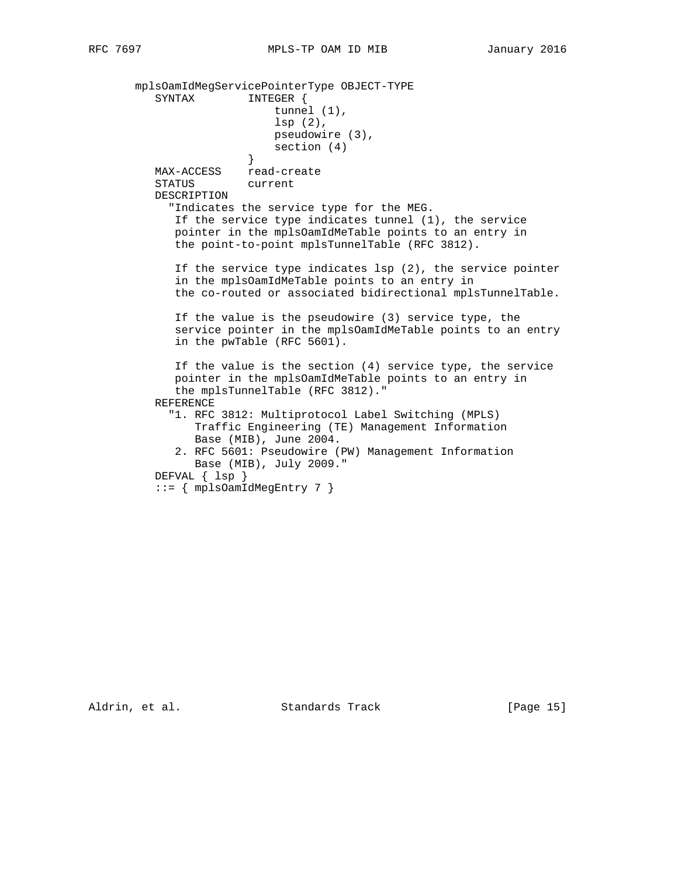mplsOamIdMegServicePointerType OBJECT-TYPE SYNTAX INTEGER { tunnel (1), lsp (2), pseudowire (3), section (4) } MAX-ACCESS read-create STATUS current DESCRIPTION "Indicates the service type for the MEG. If the service type indicates tunnel (1), the service pointer in the mplsOamIdMeTable points to an entry in the point-to-point mplsTunnelTable (RFC 3812). If the service type indicates lsp (2), the service pointer in the mplsOamIdMeTable points to an entry in the co-routed or associated bidirectional mplsTunnelTable. If the value is the pseudowire (3) service type, the service pointer in the mplsOamIdMeTable points to an entry in the pwTable (RFC 5601). If the value is the section (4) service type, the service pointer in the mplsOamIdMeTable points to an entry in the mplsTunnelTable (RFC 3812)." REFERENCE "1. RFC 3812: Multiprotocol Label Switching (MPLS) Traffic Engineering (TE) Management Information Base (MIB), June 2004. 2. RFC 5601: Pseudowire (PW) Management Information Base (MIB), July 2009." DEFVAL { lsp } ::= { mplsOamIdMegEntry 7 }

Aldrin, et al. Standards Track [Page 15]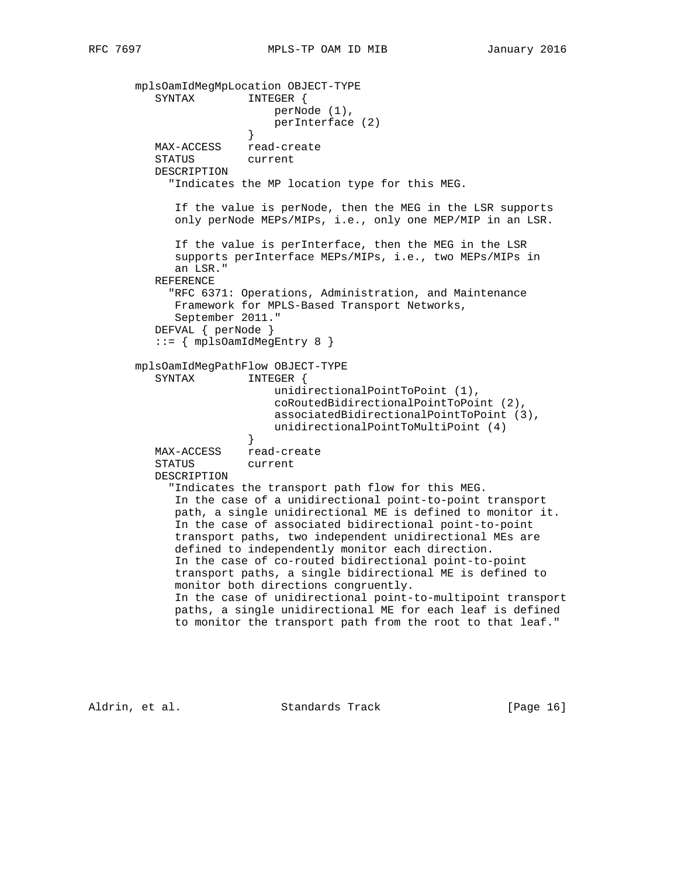mplsOamIdMegMpLocation OBJECT-TYPE SYNTAX INTEGER { perNode (1), perInterface (2) } MAX-ACCESS read-create STATUS current DESCRIPTION "Indicates the MP location type for this MEG. If the value is perNode, then the MEG in the LSR supports only perNode MEPs/MIPs, i.e., only one MEP/MIP in an LSR. If the value is perInterface, then the MEG in the LSR supports perInterface MEPs/MIPs, i.e., two MEPs/MIPs in an LSR." REFERENCE "RFC 6371: Operations, Administration, and Maintenance Framework for MPLS-Based Transport Networks, September 2011." DEFVAL { perNode } ::= { mplsOamIdMegEntry 8 } mplsOamIdMegPathFlow OBJECT-TYPE SYNTAX INTEGER { unidirectionalPointToPoint (1), coRoutedBidirectionalPointToPoint (2), associatedBidirectionalPointToPoint (3), unidirectionalPointToMultiPoint (4) } MAX-ACCESS read-create STATUS current DESCRIPTION "Indicates the transport path flow for this MEG. In the case of a unidirectional point-to-point transport path, a single unidirectional ME is defined to monitor it. In the case of associated bidirectional point-to-point transport paths, two independent unidirectional MEs are defined to independently monitor each direction. In the case of co-routed bidirectional point-to-point transport paths, a single bidirectional ME is defined to monitor both directions congruently. In the case of unidirectional point-to-multipoint transport paths, a single unidirectional ME for each leaf is defined to monitor the transport path from the root to that leaf."

Aldrin, et al. Standards Track [Page 16]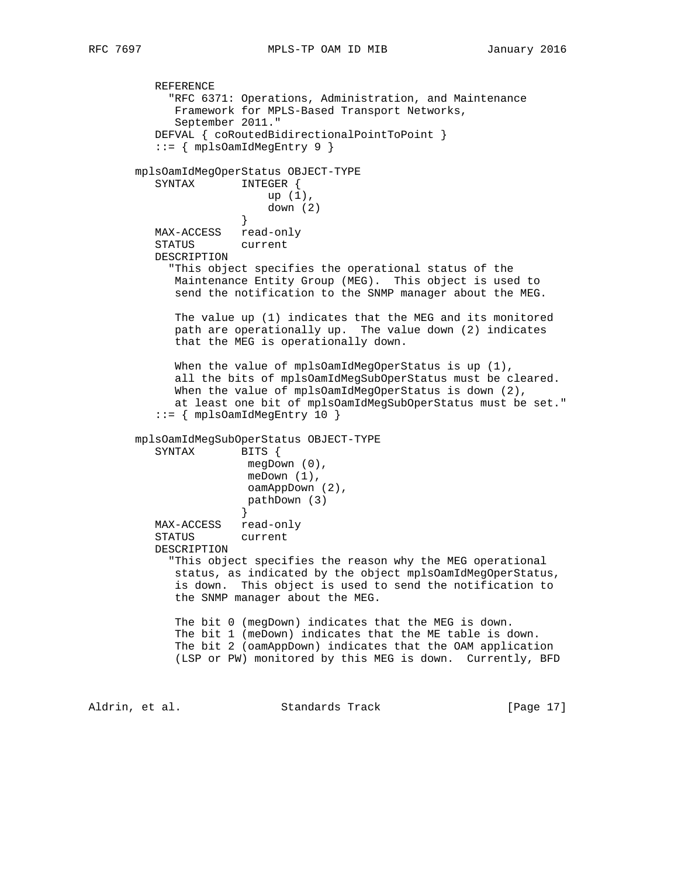REFERENCE "RFC 6371: Operations, Administration, and Maintenance Framework for MPLS-Based Transport Networks, September 2011." DEFVAL { coRoutedBidirectionalPointToPoint } ::= { mplsOamIdMegEntry 9 } mplsOamIdMegOperStatus OBJECT-TYPE SYNTAX INTEGER { up (1),  $down (2)$  } MAX-ACCESS read-only STATUS current DESCRIPTION "This object specifies the operational status of the Maintenance Entity Group (MEG). This object is used to send the notification to the SNMP manager about the MEG. The value up (1) indicates that the MEG and its monitored path are operationally up. The value down (2) indicates that the MEG is operationally down. When the value of mplsOamIdMegOperStatus is up (1), all the bits of mplsOamIdMegSubOperStatus must be cleared. When the value of mplsOamIdMegOperStatus is down (2), at least one bit of mplsOamIdMegSubOperStatus must be set." ::= { mplsOamIdMegEntry 10 } mplsOamIdMegSubOperStatus OBJECT-TYPE SYNTAX BITS { megDown (0), meDown (1), oamAppDown (2), pathDown (3)<br>} } MAX-ACCESS read-only STATUS current DESCRIPTION "This object specifies the reason why the MEG operational status, as indicated by the object mplsOamIdMegOperStatus, is down. This object is used to send the notification to the SNMP manager about the MEG. The bit 0 (megDown) indicates that the MEG is down. The bit 1 (meDown) indicates that the ME table is down. The bit 2 (oamAppDown) indicates that the OAM application (LSP or PW) monitored by this MEG is down. Currently, BFD Aldrin, et al. Standards Track [Page 17]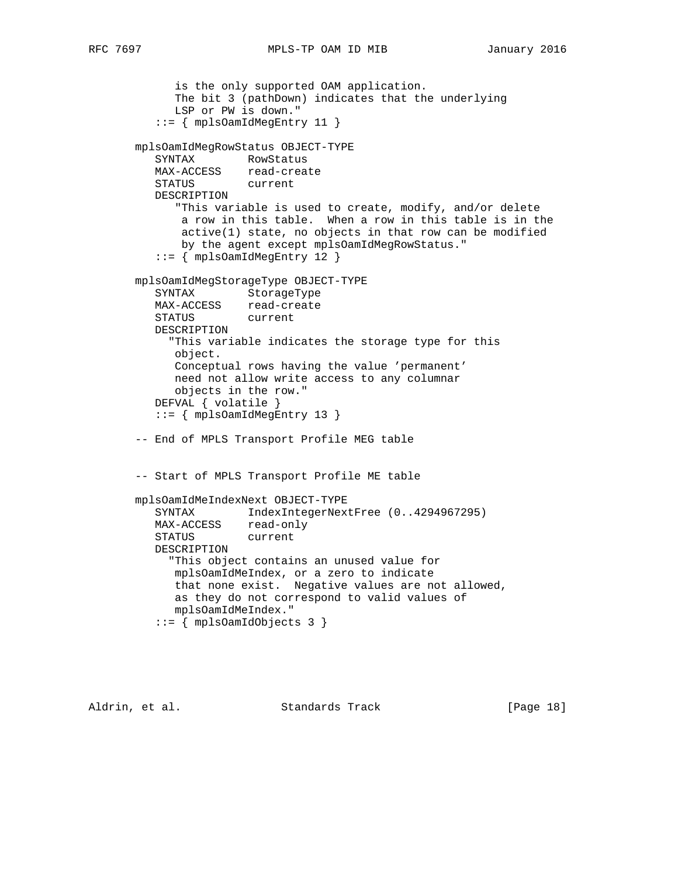```
 is the only supported OAM application.
             The bit 3 (pathDown) indicates that the underlying
             LSP or PW is down."
          ::= { mplsOamIdMegEntry 11 }
       mplsOamIdMegRowStatus OBJECT-TYPE
SYNTAX RowStatus
 MAX-ACCESS read-create
 STATUS current
          DESCRIPTION
             "This variable is used to create, modify, and/or delete
             a row in this table. When a row in this table is in the
              active(1) state, no objects in that row can be modified
              by the agent except mplsOamIdMegRowStatus."
          ::= { mplsOamIdMegEntry 12 }
       mplsOamIdMegStorageType OBJECT-TYPE
          SYNTAX StorageType
          MAX-ACCESS read-create
          STATUS current
          DESCRIPTION
            "This variable indicates the storage type for this
            object.
            Conceptual rows having the value 'permanent'
            need not allow write access to any columnar
             objects in the row."
          DEFVAL { volatile }
          ::= { mplsOamIdMegEntry 13 }
       -- End of MPLS Transport Profile MEG table
       -- Start of MPLS Transport Profile ME table
       mplsOamIdMeIndexNext OBJECT-TYPE
         SYNTAX IndexIntegerNextFree (0..4294967295)
MAX-ACCESS read-only
 STATUS current
          DESCRIPTION
            "This object contains an unused value for
            mplsOamIdMeIndex, or a zero to indicate
            that none exist. Negative values are not allowed,
             as they do not correspond to valid values of
            mplsOamIdMeIndex."
          ::= { mplsOamIdObjects 3 }
```
Aldrin, et al. Standards Track [Page 18]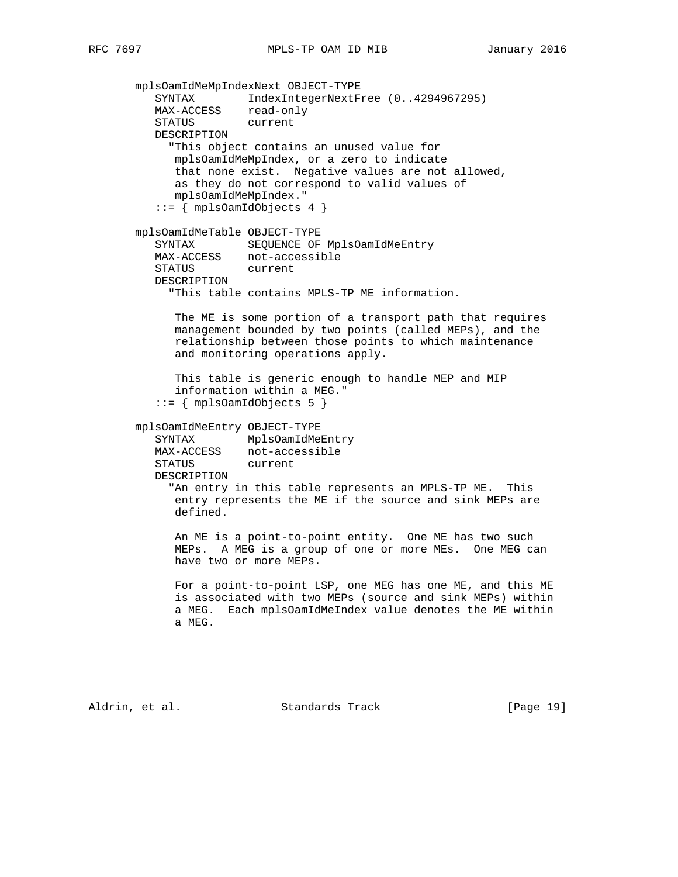mplsOamIdMeMpIndexNext OBJECT-TYPE SYNTAX IndexIntegerNextFree (0..4294967295) MAX-ACCESS read-only STATUS current DESCRIPTION "This object contains an unused value for mplsOamIdMeMpIndex, or a zero to indicate that none exist. Negative values are not allowed, as they do not correspond to valid values of mplsOamIdMeMpIndex."  $::=$  { mplsOamIdObjects 4 } mplsOamIdMeTable OBJECT-TYPE SYNTAX SEQUENCE OF MplsOamIdMeEntry MAX-ACCESS not-accessible STATUS current DESCRIPTION "This table contains MPLS-TP ME information. The ME is some portion of a transport path that requires management bounded by two points (called MEPs), and the relationship between those points to which maintenance and monitoring operations apply. This table is generic enough to handle MEP and MIP information within a MEG." ::= { mplsOamIdObjects 5 } mplsOamIdMeEntry OBJECT-TYPE SYNTAX MplsOamIdMeEntry MAX-ACCESS not-accessible STATUS current DESCRIPTION "An entry in this table represents an MPLS-TP ME. This entry represents the ME if the source and sink MEPs are defined. An ME is a point-to-point entity. One ME has two such MEPs. A MEG is a group of one or more MEs. One MEG can have two or more MEPs. For a point-to-point LSP, one MEG has one ME, and this ME is associated with two MEPs (source and sink MEPs) within a MEG. Each mplsOamIdMeIndex value denotes the ME within a MEG.

Aldrin, et al. Standards Track [Page 19]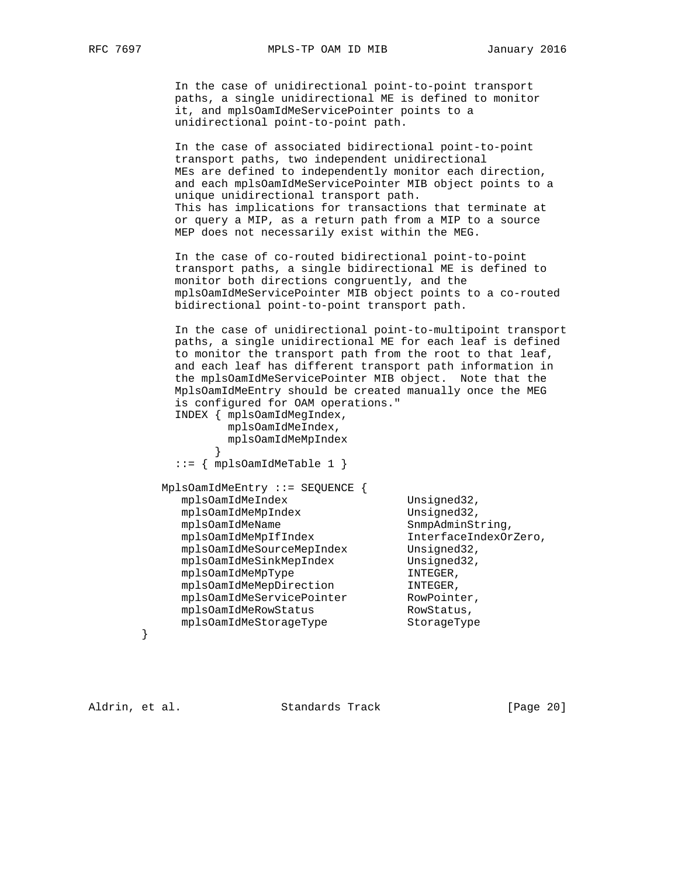In the case of unidirectional point-to-point transport paths, a single unidirectional ME is defined to monitor it, and mplsOamIdMeServicePointer points to a unidirectional point-to-point path.

 In the case of associated bidirectional point-to-point transport paths, two independent unidirectional MEs are defined to independently monitor each direction, and each mplsOamIdMeServicePointer MIB object points to a unique unidirectional transport path. This has implications for transactions that terminate at or query a MIP, as a return path from a MIP to a source MEP does not necessarily exist within the MEG.

 In the case of co-routed bidirectional point-to-point transport paths, a single bidirectional ME is defined to monitor both directions congruently, and the mplsOamIdMeServicePointer MIB object points to a co-routed bidirectional point-to-point transport path.

 In the case of unidirectional point-to-multipoint transport paths, a single unidirectional ME for each leaf is defined to monitor the transport path from the root to that leaf, and each leaf has different transport path information in the mplsOamIdMeServicePointer MIB object. Note that the MplsOamIdMeEntry should be created manually once the MEG is configured for OAM operations." INDEX { mplsOamIdMegIndex, mplsOamIdMeIndex, mplsOamIdMeMpIndex }  $::=$  { mplsOamIdMeTable 1 } MplsOamIdMeEntry ::= SEQUENCE { mplsOamIdMeIndex Unsigned32, mplsOamIdMeMpIndex Unsigned32, mplsOamIdMeName SnmpAdminString,<br>mplsOamIdMeMpIfIndex SnmpAdminString, mplsOamIdMeMpIfIndex InterfaceIndexOrZero, mplsOamIdMeSourceMepIndex Unsigned32, mplsOamIdMeSinkMepIndex Unsigned32,<br>mplsOamIdMeMpType INTEGER, mplsOamIdMeMpType mplsOamIdMeMepDirection INTEGER, mplsOamIdMeServicePointer RowPointer, mplsOamIdMeRowStatus RowStatus, mplsOamIdMeStorageType StorageType

}

Aldrin, et al. Standards Track [Page 20]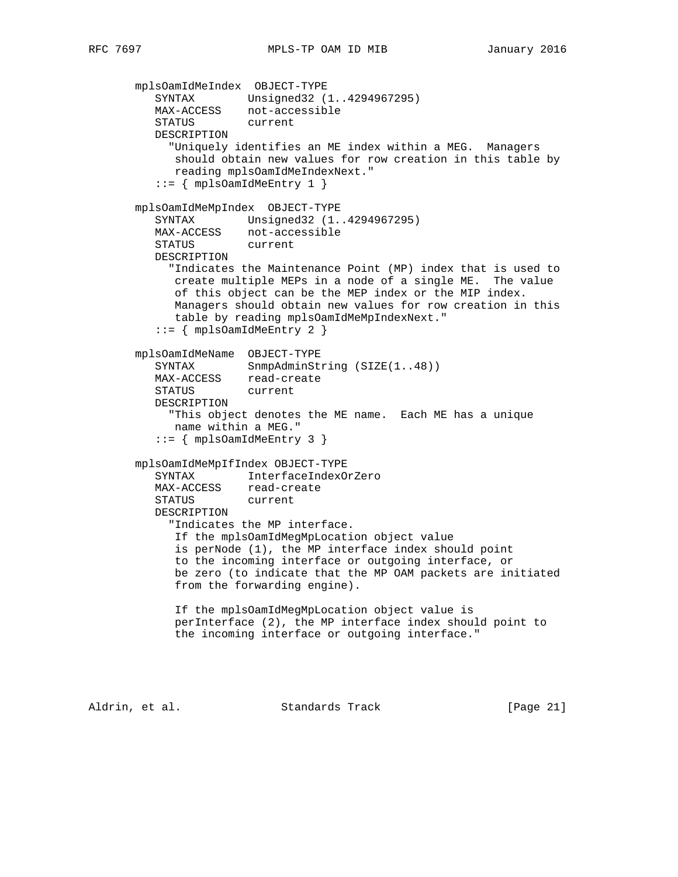mplsOamIdMeIndex OBJECT-TYPE SYNTAX Unsigned32 (1..4294967295) MAX-ACCESS not-accessible STATUS current DESCRIPTION "Uniquely identifies an ME index within a MEG. Managers should obtain new values for row creation in this table by reading mplsOamIdMeIndexNext."  $::=$  { mplsOamIdMeEntry 1 } mplsOamIdMeMpIndex OBJECT-TYPE SYNTAX Unsigned32 (1..4294967295) MAX-ACCESS not-accessible STATUS current DESCRIPTION "Indicates the Maintenance Point (MP) index that is used to create multiple MEPs in a node of a single ME. The value of this object can be the MEP index or the MIP index. Managers should obtain new values for row creation in this table by reading mplsOamIdMeMpIndexNext."  $::=$  { mplsOamIdMeEntry 2 } mplsOamIdMeName OBJECT-TYPE SYNTAX SnmpAdminString (SIZE(1..48)) MAX-ACCESS read-create STATUS current DESCRIPTION "This object denotes the ME name. Each ME has a unique name within a MEG." ::= { mplsOamIdMeEntry 3 } mplsOamIdMeMpIfIndex OBJECT-TYPE SYNTAX InterfaceIndexOrZero MAX-ACCESS read-create STATUS current DESCRIPTION "Indicates the MP interface. If the mplsOamIdMegMpLocation object value is perNode (1), the MP interface index should point to the incoming interface or outgoing interface, or be zero (to indicate that the MP OAM packets are initiated from the forwarding engine). If the mplsOamIdMegMpLocation object value is perInterface (2), the MP interface index should point to the incoming interface or outgoing interface."

Aldrin, et al. Standards Track [Page 21]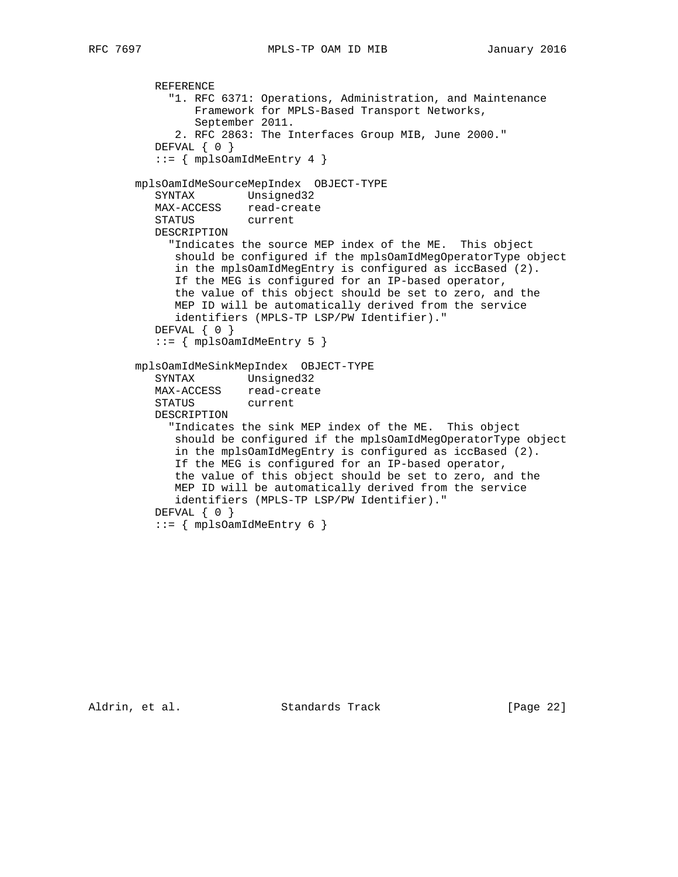```
 REFERENCE
            "1. RFC 6371: Operations, Administration, and Maintenance
                Framework for MPLS-Based Transport Networks,
                September 2011.
             2. RFC 2863: The Interfaces Group MIB, June 2000."
         DEFVAL { 0 }
          ::= { mplsOamIdMeEntry 4 }
       mplsOamIdMeSourceMepIndex OBJECT-TYPE
          SYNTAX Unsigned32
 MAX-ACCESS read-create
 STATUS current
          DESCRIPTION
            "Indicates the source MEP index of the ME. This object
             should be configured if the mplsOamIdMegOperatorType object
             in the mplsOamIdMegEntry is configured as iccBased (2).
             If the MEG is configured for an IP-based operator,
             the value of this object should be set to zero, and the
             MEP ID will be automatically derived from the service
             identifiers (MPLS-TP LSP/PW Identifier)."
         DEFVAL \{ 0 \} ::= { mplsOamIdMeEntry 5 }
       mplsOamIdMeSinkMepIndex OBJECT-TYPE
          SYNTAX Unsigned32
 MAX-ACCESS read-create
 STATUS current
          DESCRIPTION
            "Indicates the sink MEP index of the ME. This object
             should be configured if the mplsOamIdMegOperatorType object
             in the mplsOamIdMegEntry is configured as iccBased (2).
             If the MEG is configured for an IP-based operator,
             the value of this object should be set to zero, and the
             MEP ID will be automatically derived from the service
             identifiers (MPLS-TP LSP/PW Identifier)."
         DEFVAL { 0 }
          ::= { mplsOamIdMeEntry 6 }
```
Aldrin, et al. Standards Track [Page 22]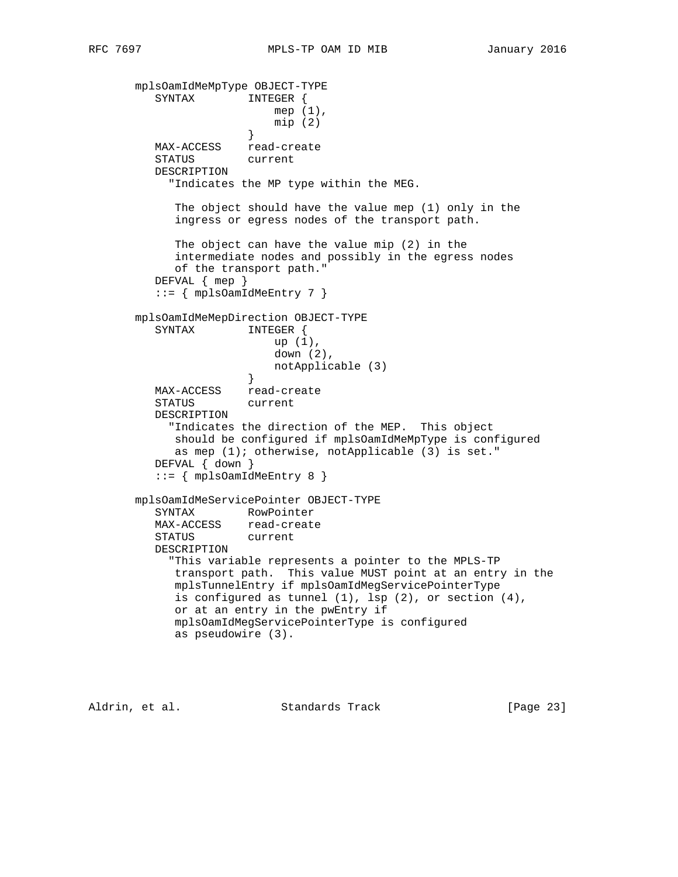```
 mplsOamIdMeMpType OBJECT-TYPE
          SYNTAX INTEGER {
                          mep (1),
                          mip (2)
 }
          MAX-ACCESS read-create
          STATUS current
          DESCRIPTION
            "Indicates the MP type within the MEG.
            The object should have the value mep (1) only in the
            ingress or egress nodes of the transport path.
            The object can have the value mip (2) in the
            intermediate nodes and possibly in the egress nodes
            of the transport path."
          DEFVAL { mep }
          ::= { mplsOamIdMeEntry 7 }
       mplsOamIdMeMepDirection OBJECT-TYPE
          SYNTAX INTEGER {
                          up (1),
                          down (2),
                      notApplicable (3)<br>}
 }
 MAX-ACCESS read-create
          STATUS current
          DESCRIPTION
            "Indicates the direction of the MEP. This object
            should be configured if mplsOamIdMeMpType is configured
            as mep (1); otherwise, notApplicable (3) is set."
          DEFVAL { down }
          ::= { mplsOamIdMeEntry 8 }
       mplsOamIdMeServicePointer OBJECT-TYPE
          SYNTAX RowPointer
 MAX-ACCESS read-create
 STATUS current
          DESCRIPTION
            "This variable represents a pointer to the MPLS-TP
            transport path. This value MUST point at an entry in the
            mplsTunnelEntry if mplsOamIdMegServicePointerType
            is configured as tunnel (1), lsp (2), or section (4),
            or at an entry in the pwEntry if
            mplsOamIdMegServicePointerType is configured
            as pseudowire (3).
```
Aldrin, et al. Standards Track [Page 23]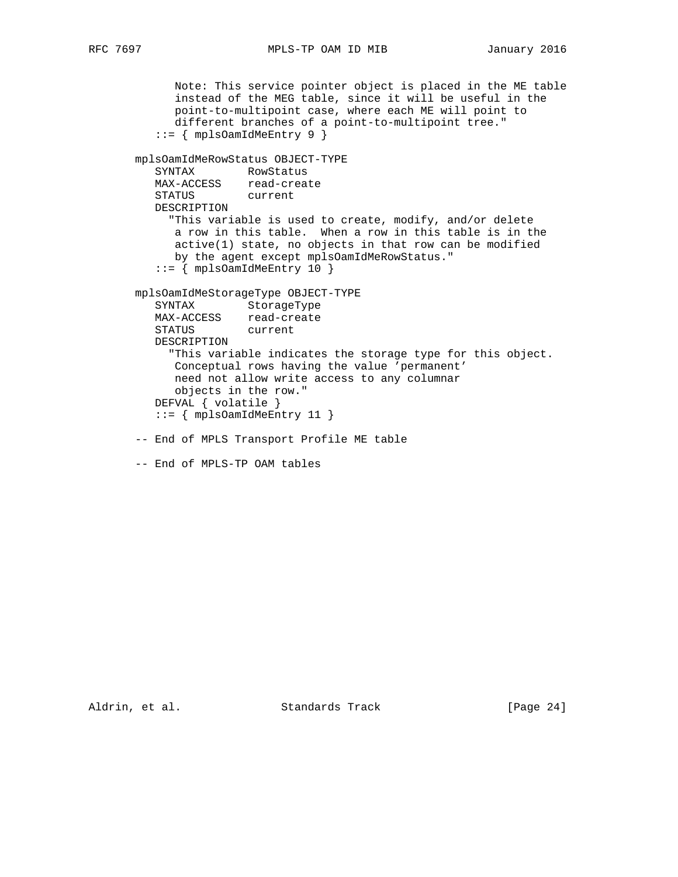```
 Note: This service pointer object is placed in the ME table
             instead of the MEG table, since it will be useful in the
             point-to-multipoint case, where each ME will point to
             different branches of a point-to-multipoint tree."
          ::= { mplsOamIdMeEntry 9 }
       mplsOamIdMeRowStatus OBJECT-TYPE
SYNTAX RowStatus
 MAX-ACCESS read-create
 STATUS current
         DESCRIPTION
           "This variable is used to create, modify, and/or delete
            a row in this table. When a row in this table is in the
             active(1) state, no objects in that row can be modified
            by the agent except mplsOamIdMeRowStatus."
         ::= { mplsOamIdMeEntry 10 }
       mplsOamIdMeStorageType OBJECT-TYPE
         SYNTAX StorageType
 MAX-ACCESS read-create
 STATUS current
         DESCRIPTION
            "This variable indicates the storage type for this object.
            Conceptual rows having the value 'permanent'
            need not allow write access to any columnar
            objects in the row."
          DEFVAL { volatile }
          ::= { mplsOamIdMeEntry 11 }
       -- End of MPLS Transport Profile ME table
       -- End of MPLS-TP OAM tables
```
Aldrin, et al. Standards Track [Page 24]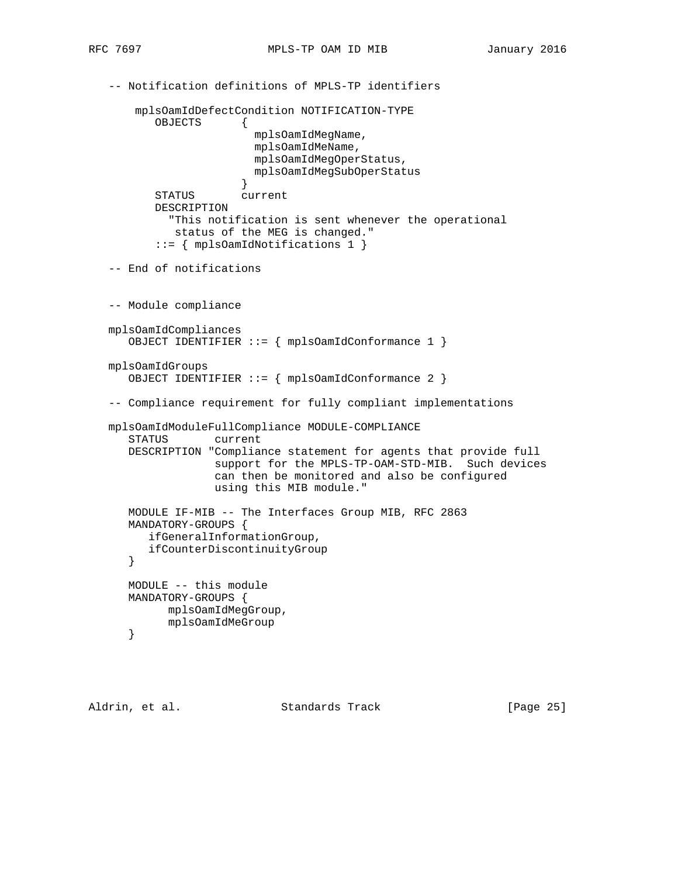```
 -- Notification definitions of MPLS-TP identifiers
       mplsOamIdDefectCondition NOTIFICATION-TYPE
          OBJECTS {
                         mplsOamIdMegName,
                         mplsOamIdMeName,
                         mplsOamIdMegOperStatus,
                         mplsOamIdMegSubOperStatus
 }
          STATUS current
          DESCRIPTION
            "This notification is sent whenever the operational
             status of the MEG is changed."
           ::= { mplsOamIdNotifications 1 }
   -- End of notifications
   -- Module compliance
   mplsOamIdCompliances
      OBJECT IDENTIFIER ::= { mplsOamIdConformance 1 }
   mplsOamIdGroups
      OBJECT IDENTIFIER ::= { mplsOamIdConformance 2 }
   -- Compliance requirement for fully compliant implementations
   mplsOamIdModuleFullCompliance MODULE-COMPLIANCE
      STATUS current
      DESCRIPTION "Compliance statement for agents that provide full
                   support for the MPLS-TP-OAM-STD-MIB. Such devices
                   can then be monitored and also be configured
                   using this MIB module."
      MODULE IF-MIB -- The Interfaces Group MIB, RFC 2863
      MANDATORY-GROUPS {
         ifGeneralInformationGroup,
         ifCounterDiscontinuityGroup
      }
      MODULE -- this module
      MANDATORY-GROUPS {
           mplsOamIdMegGroup,
            mplsOamIdMeGroup
      }
```
Aldrin, et al. Standards Track [Page 25]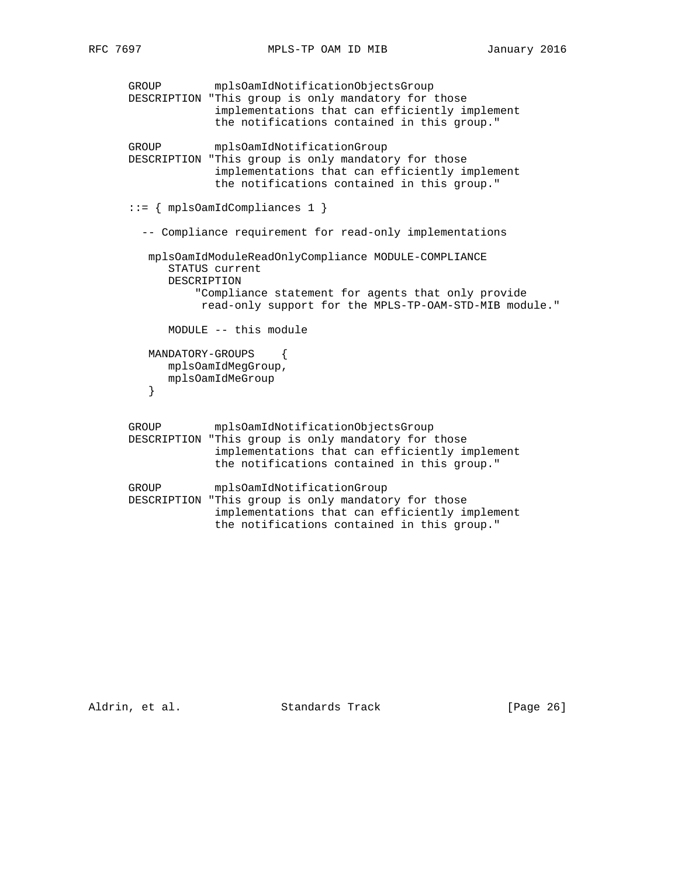```
 GROUP mplsOamIdNotificationObjectsGroup
      DESCRIPTION "This group is only mandatory for those
                   implementations that can efficiently implement
                   the notifications contained in this group."
      GROUP mplsOamIdNotificationGroup
      DESCRIPTION "This group is only mandatory for those
                   implementations that can efficiently implement
                   the notifications contained in this group."
      ::= { mplsOamIdCompliances 1 }
        -- Compliance requirement for read-only implementations
         mplsOamIdModuleReadOnlyCompliance MODULE-COMPLIANCE
            STATUS current
            DESCRIPTION
                "Compliance statement for agents that only provide
                 read-only support for the MPLS-TP-OAM-STD-MIB module."
            MODULE -- this module
         MANDATORY-GROUPS {
            mplsOamIdMegGroup,
        mplsOamIdMeGroup<br>}
 }
      GROUP mplsOamIdNotificationObjectsGroup
      DESCRIPTION "This group is only mandatory for those
                   implementations that can efficiently implement
                   the notifications contained in this group."
      GROUP mplsOamIdNotificationGroup
      DESCRIPTION "This group is only mandatory for those
                   implementations that can efficiently implement
```
the notifications contained in this group."

Aldrin, et al. Standards Track [Page 26]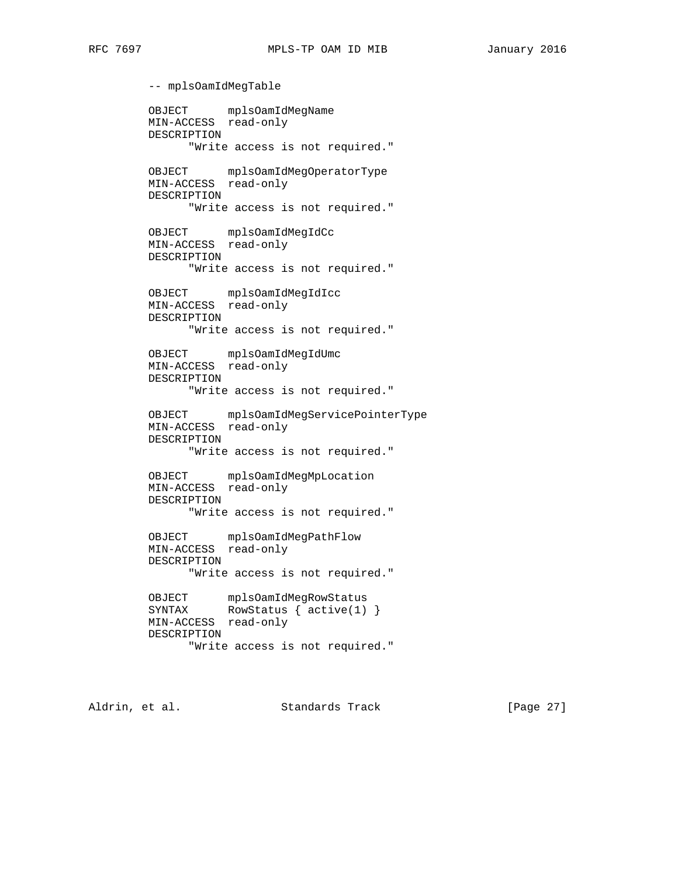-- mplsOamIdMegTable OBJECT mplsOamIdMegName MIN-ACCESS read-only DESCRIPTION "Write access is not required." OBJECT mplsOamIdMegOperatorType MIN-ACCESS read-only DESCRIPTION "Write access is not required." OBJECT mplsOamIdMegIdCc MIN-ACCESS read-only DESCRIPTION "Write access is not required." OBJECT mplsOamIdMegIdIcc MIN-ACCESS read-only DESCRIPTION "Write access is not required." OBJECT mplsOamIdMegIdUmc MIN-ACCESS read-only DESCRIPTION "Write access is not required." OBJECT mplsOamIdMegServicePointerType MIN-ACCESS read-only DESCRIPTION "Write access is not required." OBJECT mplsOamIdMegMpLocation MIN-ACCESS read-only DESCRIPTION "Write access is not required." OBJECT mplsOamIdMegPathFlow MIN-ACCESS read-only DESCRIPTION "Write access is not required." OBJECT mplsOamIdMegRowStatus SYNTAX RowStatus { active(1) } MIN-ACCESS read-only DESCRIPTION "Write access is not required."

Aldrin, et al. Standards Track [Page 27]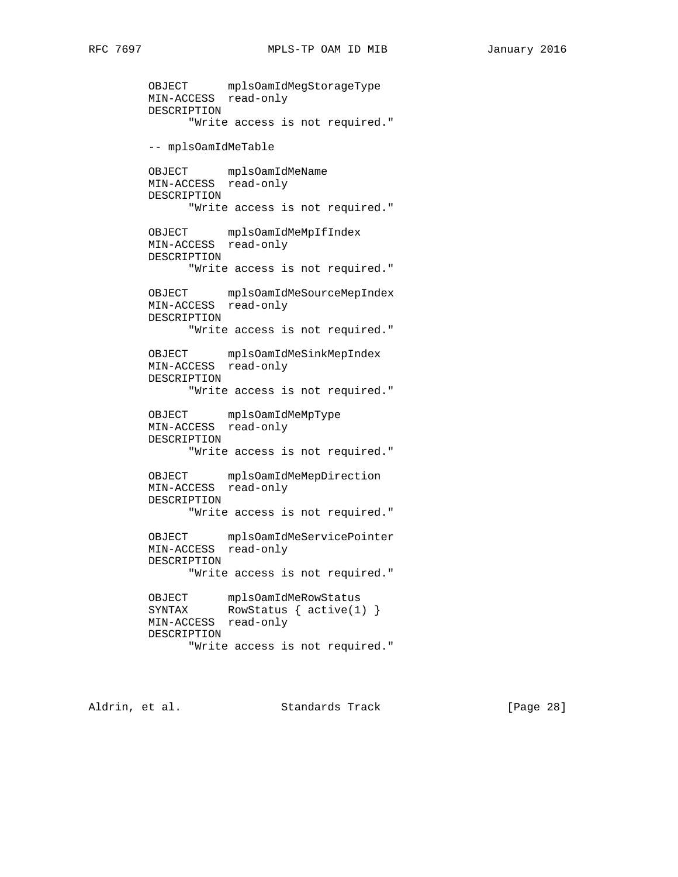OBJECT mplsOamIdMegStorageType MIN-ACCESS read-only DESCRIPTION "Write access is not required." -- mplsOamIdMeTable OBJECT mplsOamIdMeName MIN-ACCESS read-only DESCRIPTION "Write access is not required." OBJECT mplsOamIdMeMpIfIndex MIN-ACCESS read-only DESCRIPTION "Write access is not required." OBJECT mplsOamIdMeSourceMepIndex MIN-ACCESS read-only DESCRIPTION "Write access is not required." OBJECT mplsOamIdMeSinkMepIndex MIN-ACCESS read-only DESCRIPTION "Write access is not required." OBJECT mplsOamIdMeMpType MIN-ACCESS read-only DESCRIPTION "Write access is not required." OBJECT mplsOamIdMeMepDirection MIN-ACCESS read-only DESCRIPTION "Write access is not required." OBJECT mplsOamIdMeServicePointer MIN-ACCESS read-only DESCRIPTION "Write access is not required." OBJECT mplsOamIdMeRowStatus SYNTAX RowStatus { active(1) } MIN-ACCESS read-only DESCRIPTION "Write access is not required."

Aldrin, et al. Standards Track [Page 28]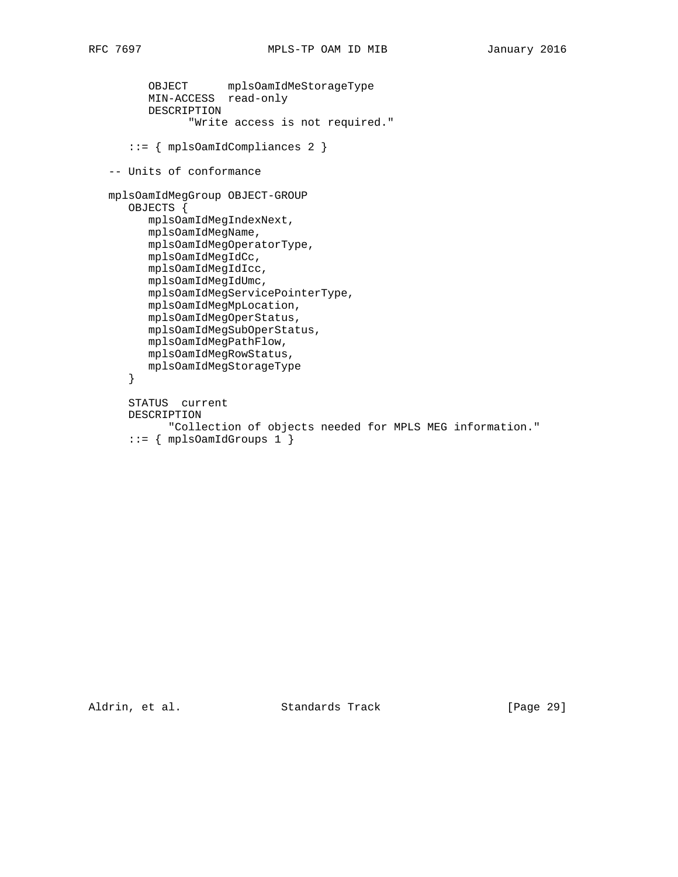```
 OBJECT mplsOamIdMeStorageType
 MIN-ACCESS read-only
         DESCRIPTION
                "Write access is not required."
      ::= { mplsOamIdCompliances 2 }
   -- Units of conformance
   mplsOamIdMegGroup OBJECT-GROUP
      OBJECTS {
         mplsOamIdMegIndexNext,
         mplsOamIdMegName,
         mplsOamIdMegOperatorType,
         mplsOamIdMegIdCc,
         mplsOamIdMegIdIcc,
         mplsOamIdMegIdUmc,
         mplsOamIdMegServicePointerType,
         mplsOamIdMegMpLocation,
         mplsOamIdMegOperStatus,
         mplsOamIdMegSubOperStatus,
         mplsOamIdMegPathFlow,
         mplsOamIdMegRowStatus,
         mplsOamIdMegStorageType
      }
      STATUS current
      DESCRIPTION
             "Collection of objects needed for MPLS MEG information."
      ::= { mplsOamIdGroups 1 { }
```
Aldrin, et al. Standards Track [Page 29]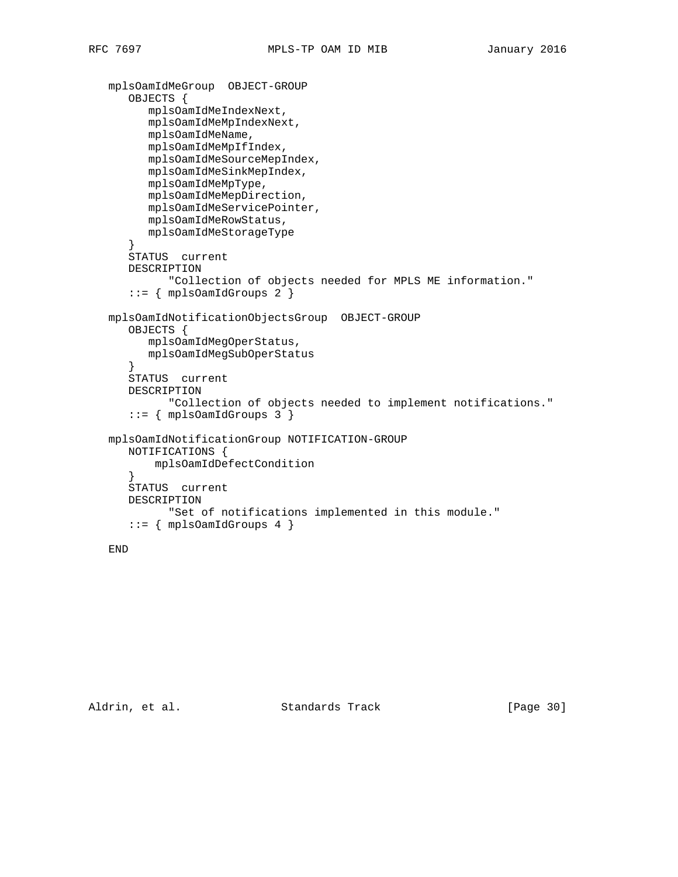```
 mplsOamIdMeGroup OBJECT-GROUP
    OBJECTS {
       mplsOamIdMeIndexNext,
       mplsOamIdMeMpIndexNext,
       mplsOamIdMeName,
       mplsOamIdMeMpIfIndex,
       mplsOamIdMeSourceMepIndex,
       mplsOamIdMeSinkMepIndex,
       mplsOamIdMeMpType,
       mplsOamIdMeMepDirection,
       mplsOamIdMeServicePointer,
       mplsOamIdMeRowStatus,
       mplsOamIdMeStorageType
    }
    STATUS current
    DESCRIPTION
          "Collection of objects needed for MPLS ME information."
   ::= { mplsOamIdGroups 2 { } mplsOamIdNotificationObjectsGroup OBJECT-GROUP
    OBJECTS {
       mplsOamIdMegOperStatus,
       mplsOamIdMegSubOperStatus
    }
    STATUS current
    DESCRIPTION
          "Collection of objects needed to implement notifications."
    ::= { mplsOamIdGroups 3 }
 mplsOamIdNotificationGroup NOTIFICATION-GROUP
    NOTIFICATIONS {
        mplsOamIdDefectCondition
    }
    STATUS current
    DESCRIPTION
          "Set of notifications implemented in this module."
   ::= { mplsOamIdGroups 4 }
```
END

Aldrin, et al. Standards Track [Page 30]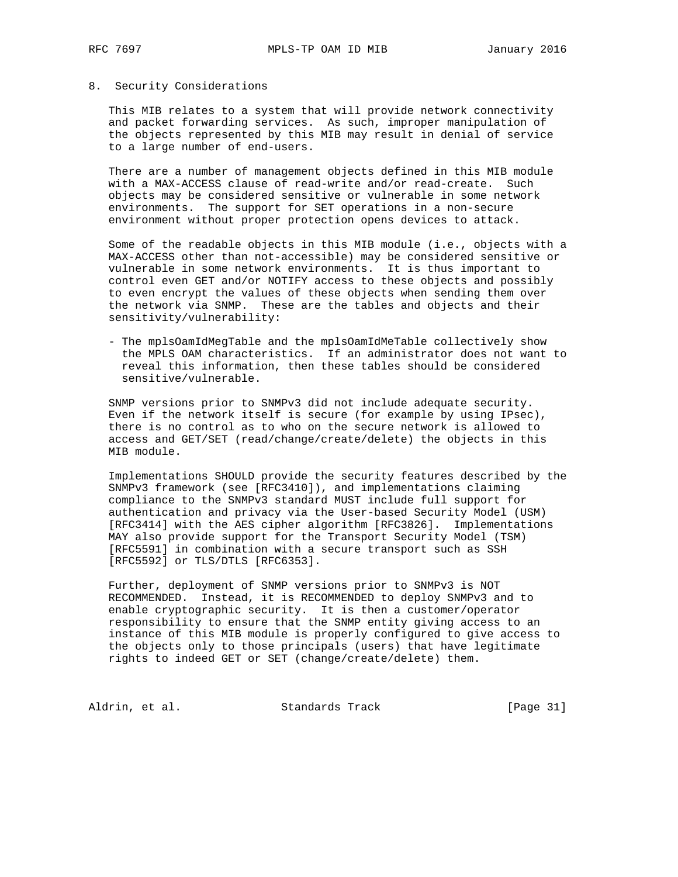### 8. Security Considerations

 This MIB relates to a system that will provide network connectivity and packet forwarding services. As such, improper manipulation of the objects represented by this MIB may result in denial of service to a large number of end-users.

 There are a number of management objects defined in this MIB module with a MAX-ACCESS clause of read-write and/or read-create. Such objects may be considered sensitive or vulnerable in some network environments. The support for SET operations in a non-secure environment without proper protection opens devices to attack.

 Some of the readable objects in this MIB module (i.e., objects with a MAX-ACCESS other than not-accessible) may be considered sensitive or vulnerable in some network environments. It is thus important to control even GET and/or NOTIFY access to these objects and possibly to even encrypt the values of these objects when sending them over the network via SNMP. These are the tables and objects and their sensitivity/vulnerability:

 - The mplsOamIdMegTable and the mplsOamIdMeTable collectively show the MPLS OAM characteristics. If an administrator does not want to reveal this information, then these tables should be considered sensitive/vulnerable.

 SNMP versions prior to SNMPv3 did not include adequate security. Even if the network itself is secure (for example by using IPsec), there is no control as to who on the secure network is allowed to access and GET/SET (read/change/create/delete) the objects in this MIB module.

 Implementations SHOULD provide the security features described by the SNMPv3 framework (see [RFC3410]), and implementations claiming compliance to the SNMPv3 standard MUST include full support for authentication and privacy via the User-based Security Model (USM) [RFC3414] with the AES cipher algorithm [RFC3826]. Implementations MAY also provide support for the Transport Security Model (TSM) [RFC5591] in combination with a secure transport such as SSH [RFC5592] or TLS/DTLS [RFC6353].

 Further, deployment of SNMP versions prior to SNMPv3 is NOT RECOMMENDED. Instead, it is RECOMMENDED to deploy SNMPv3 and to enable cryptographic security. It is then a customer/operator responsibility to ensure that the SNMP entity giving access to an instance of this MIB module is properly configured to give access to the objects only to those principals (users) that have legitimate rights to indeed GET or SET (change/create/delete) them.

Aldrin, et al. Standards Track [Page 31]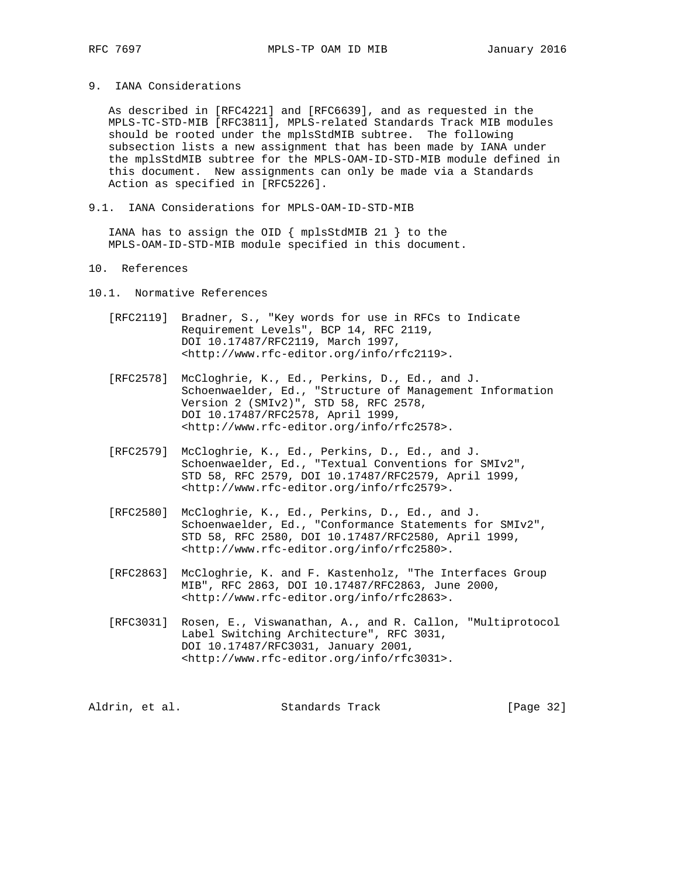# 9. IANA Considerations

 As described in [RFC4221] and [RFC6639], and as requested in the MPLS-TC-STD-MIB [RFC3811], MPLS-related Standards Track MIB modules should be rooted under the mplsStdMIB subtree. The following subsection lists a new assignment that has been made by IANA under the mplsStdMIB subtree for the MPLS-OAM-ID-STD-MIB module defined in this document. New assignments can only be made via a Standards Action as specified in [RFC5226].

9.1. IANA Considerations for MPLS-OAM-ID-STD-MIB

 IANA has to assign the OID { mplsStdMIB 21 } to the MPLS-OAM-ID-STD-MIB module specified in this document.

# 10. References

10.1. Normative References

- [RFC2119] Bradner, S., "Key words for use in RFCs to Indicate Requirement Levels", BCP 14, RFC 2119, DOI 10.17487/RFC2119, March 1997, <http://www.rfc-editor.org/info/rfc2119>.
- [RFC2578] McCloghrie, K., Ed., Perkins, D., Ed., and J. Schoenwaelder, Ed., "Structure of Management Information Version 2 (SMIv2)", STD 58, RFC 2578, DOI 10.17487/RFC2578, April 1999, <http://www.rfc-editor.org/info/rfc2578>.
	- [RFC2579] McCloghrie, K., Ed., Perkins, D., Ed., and J. Schoenwaelder, Ed., "Textual Conventions for SMIv2", STD 58, RFC 2579, DOI 10.17487/RFC2579, April 1999, <http://www.rfc-editor.org/info/rfc2579>.
	- [RFC2580] McCloghrie, K., Ed., Perkins, D., Ed., and J. Schoenwaelder, Ed., "Conformance Statements for SMIv2", STD 58, RFC 2580, DOI 10.17487/RFC2580, April 1999, <http://www.rfc-editor.org/info/rfc2580>.
	- [RFC2863] McCloghrie, K. and F. Kastenholz, "The Interfaces Group MIB", RFC 2863, DOI 10.17487/RFC2863, June 2000, <http://www.rfc-editor.org/info/rfc2863>.
	- [RFC3031] Rosen, E., Viswanathan, A., and R. Callon, "Multiprotocol Label Switching Architecture", RFC 3031, DOI 10.17487/RFC3031, January 2001, <http://www.rfc-editor.org/info/rfc3031>.

| [Page 32]<br>Aldrin, et al.<br>Standards Track |  |
|------------------------------------------------|--|
|------------------------------------------------|--|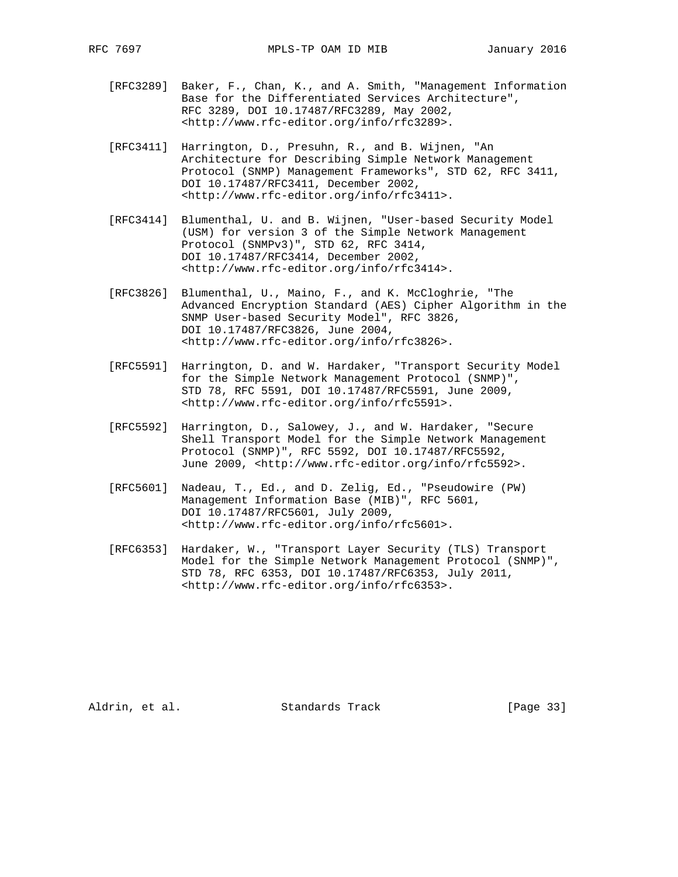- [RFC3289] Baker, F., Chan, K., and A. Smith, "Management Information Base for the Differentiated Services Architecture", RFC 3289, DOI 10.17487/RFC3289, May 2002, <http://www.rfc-editor.org/info/rfc3289>.
- [RFC3411] Harrington, D., Presuhn, R., and B. Wijnen, "An Architecture for Describing Simple Network Management Protocol (SNMP) Management Frameworks", STD 62, RFC 3411, DOI 10.17487/RFC3411, December 2002, <http://www.rfc-editor.org/info/rfc3411>.
- [RFC3414] Blumenthal, U. and B. Wijnen, "User-based Security Model (USM) for version 3 of the Simple Network Management Protocol (SNMPv3)", STD 62, RFC 3414, DOI 10.17487/RFC3414, December 2002, <http://www.rfc-editor.org/info/rfc3414>.
- [RFC3826] Blumenthal, U., Maino, F., and K. McCloghrie, "The Advanced Encryption Standard (AES) Cipher Algorithm in the SNMP User-based Security Model", RFC 3826, DOI 10.17487/RFC3826, June 2004, <http://www.rfc-editor.org/info/rfc3826>.
- [RFC5591] Harrington, D. and W. Hardaker, "Transport Security Model for the Simple Network Management Protocol (SNMP)", STD 78, RFC 5591, DOI 10.17487/RFC5591, June 2009, <http://www.rfc-editor.org/info/rfc5591>.
- [RFC5592] Harrington, D., Salowey, J., and W. Hardaker, "Secure Shell Transport Model for the Simple Network Management Protocol (SNMP)", RFC 5592, DOI 10.17487/RFC5592, June 2009, <http://www.rfc-editor.org/info/rfc5592>.
- [RFC5601] Nadeau, T., Ed., and D. Zelig, Ed., "Pseudowire (PW) Management Information Base (MIB)", RFC 5601, DOI 10.17487/RFC5601, July 2009, <http://www.rfc-editor.org/info/rfc5601>.
- [RFC6353] Hardaker, W., "Transport Layer Security (TLS) Transport Model for the Simple Network Management Protocol (SNMP)", STD 78, RFC 6353, DOI 10.17487/RFC6353, July 2011, <http://www.rfc-editor.org/info/rfc6353>.

Aldrin, et al. Standards Track [Page 33]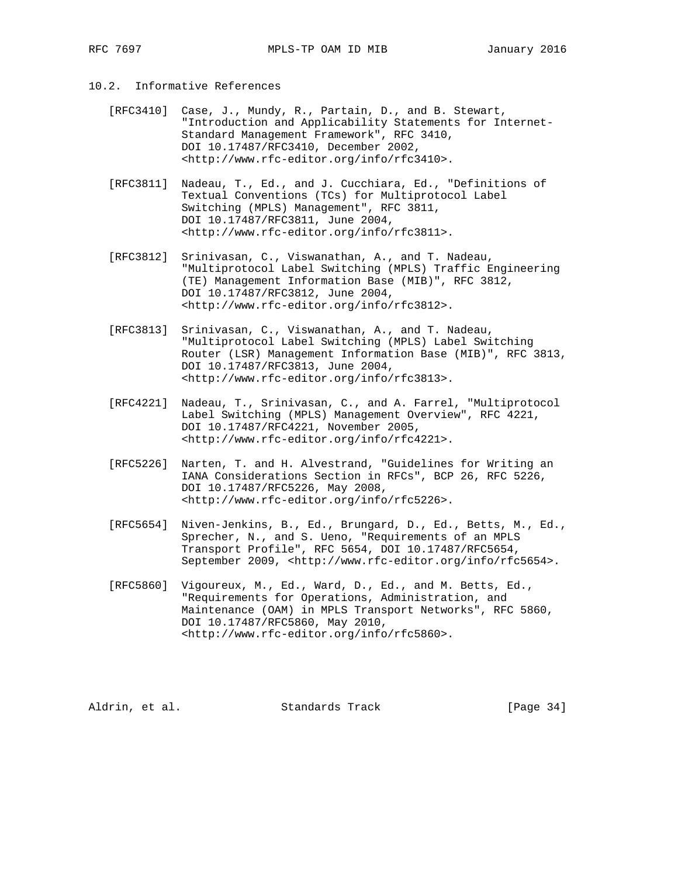- 10.2. Informative References
	- [RFC3410] Case, J., Mundy, R., Partain, D., and B. Stewart, "Introduction and Applicability Statements for Internet- Standard Management Framework", RFC 3410, DOI 10.17487/RFC3410, December 2002, <http://www.rfc-editor.org/info/rfc3410>.
	- [RFC3811] Nadeau, T., Ed., and J. Cucchiara, Ed., "Definitions of Textual Conventions (TCs) for Multiprotocol Label Switching (MPLS) Management", RFC 3811, DOI 10.17487/RFC3811, June 2004, <http://www.rfc-editor.org/info/rfc3811>.
	- [RFC3812] Srinivasan, C., Viswanathan, A., and T. Nadeau, "Multiprotocol Label Switching (MPLS) Traffic Engineering (TE) Management Information Base (MIB)", RFC 3812, DOI 10.17487/RFC3812, June 2004, <http://www.rfc-editor.org/info/rfc3812>.
	- [RFC3813] Srinivasan, C., Viswanathan, A., and T. Nadeau, "Multiprotocol Label Switching (MPLS) Label Switching Router (LSR) Management Information Base (MIB)", RFC 3813, DOI 10.17487/RFC3813, June 2004, <http://www.rfc-editor.org/info/rfc3813>.
	- [RFC4221] Nadeau, T., Srinivasan, C., and A. Farrel, "Multiprotocol Label Switching (MPLS) Management Overview", RFC 4221, DOI 10.17487/RFC4221, November 2005, <http://www.rfc-editor.org/info/rfc4221>.
	- [RFC5226] Narten, T. and H. Alvestrand, "Guidelines for Writing an IANA Considerations Section in RFCs", BCP 26, RFC 5226, DOI 10.17487/RFC5226, May 2008, <http://www.rfc-editor.org/info/rfc5226>.
	- [RFC5654] Niven-Jenkins, B., Ed., Brungard, D., Ed., Betts, M., Ed., Sprecher, N., and S. Ueno, "Requirements of an MPLS Transport Profile", RFC 5654, DOI 10.17487/RFC5654, September 2009, <http://www.rfc-editor.org/info/rfc5654>.
	- [RFC5860] Vigoureux, M., Ed., Ward, D., Ed., and M. Betts, Ed., "Requirements for Operations, Administration, and Maintenance (OAM) in MPLS Transport Networks", RFC 5860, DOI 10.17487/RFC5860, May 2010, <http://www.rfc-editor.org/info/rfc5860>.

Aldrin, et al. Standards Track [Page 34]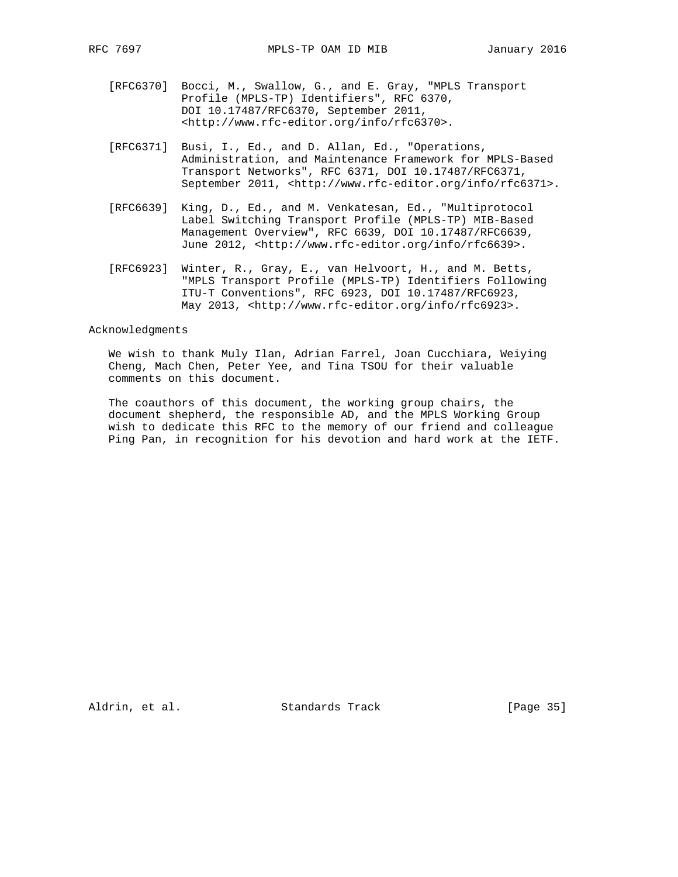- [RFC6370] Bocci, M., Swallow, G., and E. Gray, "MPLS Transport Profile (MPLS-TP) Identifiers", RFC 6370, DOI 10.17487/RFC6370, September 2011, <http://www.rfc-editor.org/info/rfc6370>.
- [RFC6371] Busi, I., Ed., and D. Allan, Ed., "Operations, Administration, and Maintenance Framework for MPLS-Based Transport Networks", RFC 6371, DOI 10.17487/RFC6371, September 2011, <http://www.rfc-editor.org/info/rfc6371>.
- [RFC6639] King, D., Ed., and M. Venkatesan, Ed., "Multiprotocol Label Switching Transport Profile (MPLS-TP) MIB-Based Management Overview", RFC 6639, DOI 10.17487/RFC6639, June 2012, <http://www.rfc-editor.org/info/rfc6639>.
- [RFC6923] Winter, R., Gray, E., van Helvoort, H., and M. Betts, "MPLS Transport Profile (MPLS-TP) Identifiers Following ITU-T Conventions", RFC 6923, DOI 10.17487/RFC6923, May 2013, <http://www.rfc-editor.org/info/rfc6923>.

#### Acknowledgments

 We wish to thank Muly Ilan, Adrian Farrel, Joan Cucchiara, Weiying Cheng, Mach Chen, Peter Yee, and Tina TSOU for their valuable comments on this document.

 The coauthors of this document, the working group chairs, the document shepherd, the responsible AD, and the MPLS Working Group wish to dedicate this RFC to the memory of our friend and colleague Ping Pan, in recognition for his devotion and hard work at the IETF.

Aldrin, et al. Standards Track [Page 35]